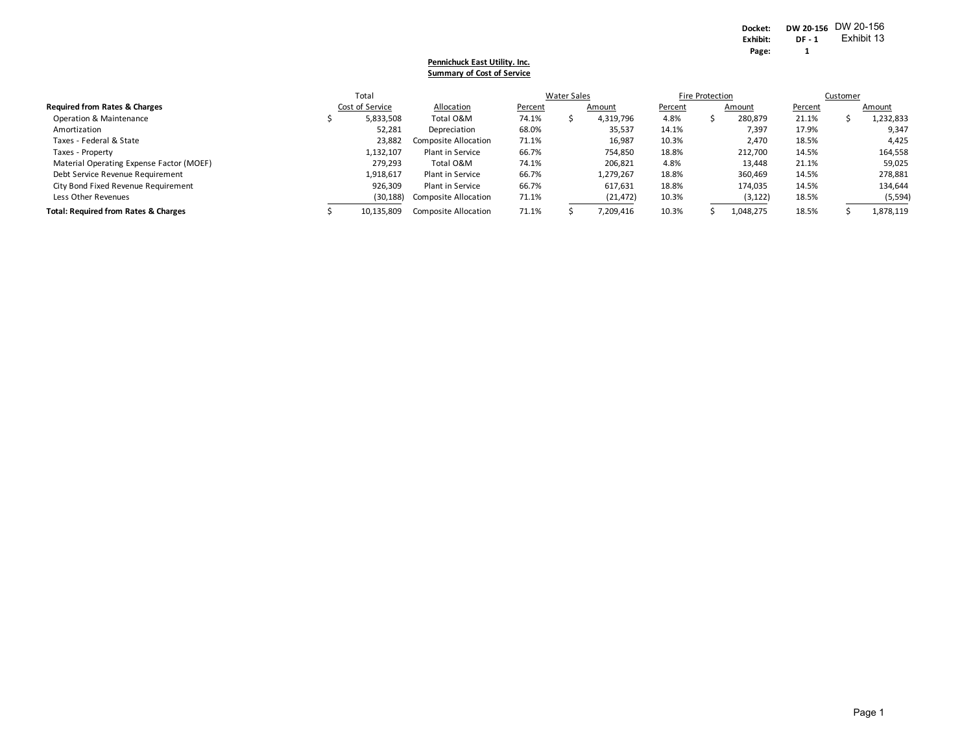#### **Pennichuck East Utility. Inc. Summary of Cost of Service**

|                                                 | Total           |                      | <b>Water Sales</b> |  |           | Fire Protection |  |           | Customer |  |           |
|-------------------------------------------------|-----------------|----------------------|--------------------|--|-----------|-----------------|--|-----------|----------|--|-----------|
| <b>Required from Rates &amp; Charges</b>        | Cost of Service | Allocation           | Percent            |  | Amount    | Percent         |  | Amount    | Percent  |  | Amount    |
| Operation & Maintenance                         | 5,833,508       | Total O&M            | 74.1%              |  | 4,319,796 | 4.8%            |  | 280,879   | 21.1%    |  | 1,232,833 |
| Amortization                                    | 52,281          | Depreciation         | 68.0%              |  | 35,537    | 14.1%           |  | 7,397     | 17.9%    |  | 9,347     |
| Taxes - Federal & State                         | 23,882          | Composite Allocation | 71.1%              |  | 16,987    | 10.3%           |  | 2.470     | 18.5%    |  | 4.425     |
| Taxes - Property                                | 1,132,107       | Plant in Service     | 66.7%              |  | 754,850   | 18.8%           |  | 212.700   | 14.5%    |  | 164,558   |
| Material Operating Expense Factor (MOEF)        | 279,293         | Total O&M            | 74.1%              |  | 206,821   | 4.8%            |  | 13,448    | 21.1%    |  | 59,025    |
| Debt Service Revenue Requirement                | 1,918,617       | Plant in Service     | 66.7%              |  | 1,279,267 | 18.8%           |  | 360,469   | 14.5%    |  | 278,881   |
| City Bond Fixed Revenue Requirement             | 926,309         | Plant in Service     | 66.7%              |  | 617,631   | 18.8%           |  | 174,035   | 14.5%    |  | 134,644   |
| Less Other Revenues                             | (30, 188)       | Composite Allocation | 71.1%              |  | (21, 472) | 10.3%           |  | (3, 122)  | 18.5%    |  | (5, 594)  |
| <b>Total: Required from Rates &amp; Charges</b> | 10,135,809      | Composite Allocation | 71.1%              |  | 7,209,416 | 10.3%           |  | 1,048,275 | 18.5%    |  | 1,878,119 |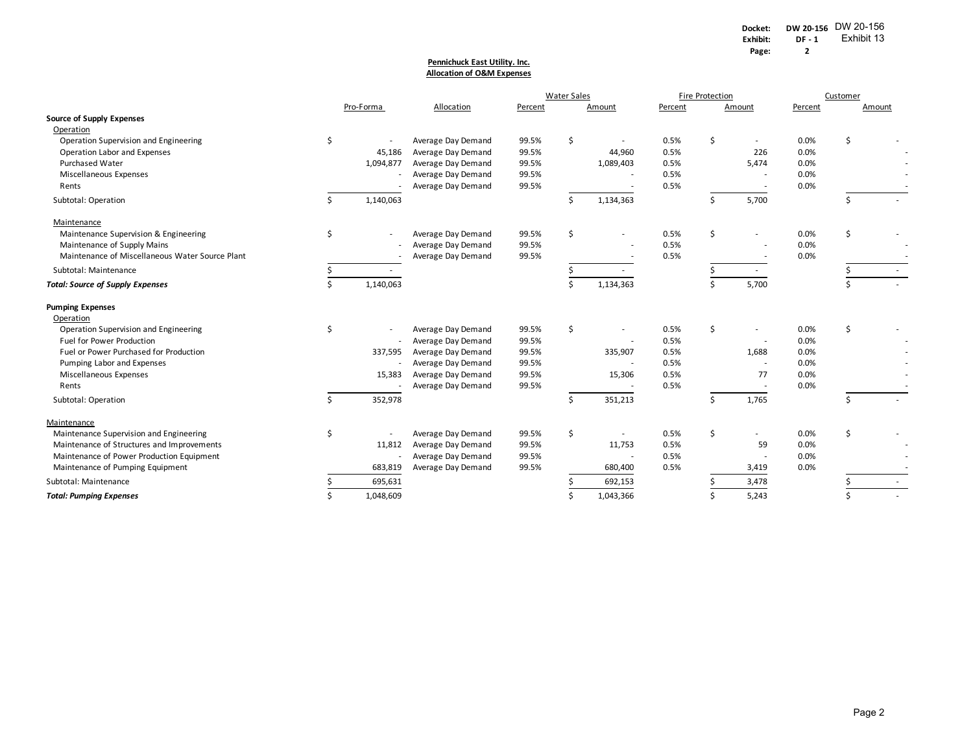#### **Pennichuck East Utility. Inc. Allocation of O&M Expenses**

|                                                 |    |           |                    | <b>Water Sales</b> |    |              | <b>Fire Protection</b> |    |                          | Customer |        |  |
|-------------------------------------------------|----|-----------|--------------------|--------------------|----|--------------|------------------------|----|--------------------------|----------|--------|--|
|                                                 |    | Pro-Forma | Allocation         | Percent            |    | Amount       | Percent                |    | Amount                   | Percent  | Amount |  |
| <b>Source of Supply Expenses</b>                |    |           |                    |                    |    |              |                        |    |                          |          |        |  |
| Operation                                       |    |           |                    |                    |    |              |                        |    |                          |          |        |  |
| Operation Supervision and Engineering           | \$ |           | Average Day Demand | 99.5%              | \$ |              | 0.5%                   | \$ |                          | 0.0%     | \$     |  |
| Operation Labor and Expenses                    |    | 45,186    | Average Day Demand | 99.5%              |    | 44,960       | 0.5%                   |    | 226                      | 0.0%     |        |  |
| <b>Purchased Water</b>                          |    | 1,094,877 | Average Day Demand | 99.5%              |    | 1,089,403    | 0.5%                   |    | 5,474                    | 0.0%     |        |  |
| <b>Miscellaneous Expenses</b>                   |    |           | Average Day Demand | 99.5%              |    |              | 0.5%                   |    |                          | 0.0%     |        |  |
| Rents                                           |    |           | Average Day Demand | 99.5%              |    |              | 0.5%                   |    |                          | 0.0%     |        |  |
| Subtotal: Operation                             |    | 1,140,063 |                    |                    | Ś  | 1,134,363    |                        | Ś. | 5,700                    |          | \$     |  |
| Maintenance                                     |    |           |                    |                    |    |              |                        |    |                          |          |        |  |
| Maintenance Supervision & Engineering           | \$ |           | Average Day Demand | 99.5%              | \$ |              | 0.5%                   | \$ |                          | 0.0%     | \$     |  |
| Maintenance of Supply Mains                     |    |           | Average Day Demand | 99.5%              |    |              | 0.5%                   |    |                          | 0.0%     |        |  |
| Maintenance of Miscellaneous Water Source Plant |    |           | Average Day Demand | 99.5%              |    |              | 0.5%                   |    |                          | 0.0%     |        |  |
| Subtotal: Maintenance                           |    |           |                    |                    |    | $\mathbf{r}$ |                        |    | $\sim$                   |          |        |  |
| <b>Total: Source of Supply Expenses</b>         | Ś. | 1,140,063 |                    |                    | ς  | 1,134,363    |                        | Ś. | 5,700                    |          | \$     |  |
| <b>Pumping Expenses</b>                         |    |           |                    |                    |    |              |                        |    |                          |          |        |  |
| Operation                                       |    |           |                    |                    |    |              |                        |    |                          |          |        |  |
| Operation Supervision and Engineering           | \$ |           | Average Day Demand | 99.5%              | \$ | ٠            | 0.5%                   | \$ |                          | 0.0%     | \$     |  |
| Fuel for Power Production                       |    |           | Average Day Demand | 99.5%              |    |              | 0.5%                   |    | $\overline{\phantom{a}}$ | 0.0%     |        |  |
| Fuel or Power Purchased for Production          |    | 337,595   | Average Day Demand | 99.5%              |    | 335,907      | 0.5%                   |    | 1,688                    | 0.0%     |        |  |
| Pumping Labor and Expenses                      |    |           | Average Day Demand | 99.5%              |    |              | 0.5%                   |    | $\overline{a}$           | 0.0%     |        |  |
| Miscellaneous Expenses                          |    | 15,383    | Average Day Demand | 99.5%              |    | 15,306       | 0.5%                   |    | 77                       | 0.0%     |        |  |
| Rents                                           |    |           | Average Day Demand | 99.5%              |    |              | 0.5%                   |    | $\overline{\phantom{a}}$ | 0.0%     |        |  |
| Subtotal: Operation                             | Ś. | 352,978   |                    |                    | \$ | 351,213      |                        | Ś. | 1,765                    |          | Ś.     |  |
| Maintenance                                     |    |           |                    |                    |    |              |                        |    |                          |          |        |  |
| Maintenance Supervision and Engineering         | \$ |           | Average Day Demand | 99.5%              | \$ |              | 0.5%                   | \$ |                          | 0.0%     | \$     |  |
| Maintenance of Structures and Improvements      |    | 11,812    | Average Day Demand | 99.5%              |    | 11,753       | 0.5%                   |    | 59                       | 0.0%     |        |  |
| Maintenance of Power Production Equipment       |    |           | Average Day Demand | 99.5%              |    | ÷            | 0.5%                   |    | $\blacksquare$           | 0.0%     |        |  |
| Maintenance of Pumping Equipment                |    | 683,819   | Average Day Demand | 99.5%              |    | 680,400      | 0.5%                   |    | 3,419                    | 0.0%     |        |  |
| Subtotal: Maintenance                           |    | 695,631   |                    |                    |    | 692,153      |                        |    | 3,478                    |          |        |  |
| <b>Total: Pumping Expenses</b>                  |    | 1,048,609 |                    |                    |    | 1,043,366    |                        |    | 5,243                    |          |        |  |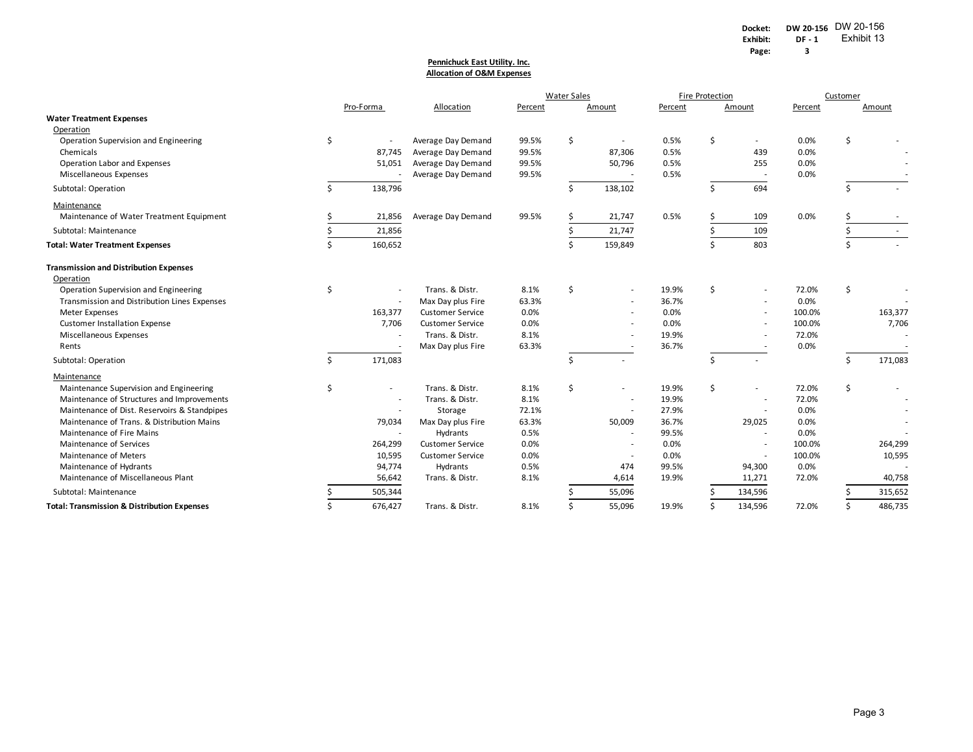#### **Allocation of O&M Expenses Pennichuck East Utility. Inc.**

|                                                        |    |           |                         |         | <b>Water Sales</b> |                          |         | Fire Protection |                          |         | Customer |         |
|--------------------------------------------------------|----|-----------|-------------------------|---------|--------------------|--------------------------|---------|-----------------|--------------------------|---------|----------|---------|
|                                                        |    | Pro-Forma | Allocation              | Percent |                    | Amount                   | Percent |                 | Amount                   | Percent |          | Amount  |
| <b>Water Treatment Expenses</b>                        |    |           |                         |         |                    |                          |         |                 |                          |         |          |         |
| Operation                                              |    |           |                         |         |                    |                          |         |                 |                          |         |          |         |
| Operation Supervision and Engineering                  | \$ |           | Average Day Demand      | 99.5%   | \$                 | $\overline{\phantom{a}}$ | 0.5%    | \$              | ٠                        | 0.0%    | \$       |         |
| Chemicals                                              |    | 87,745    | Average Day Demand      | 99.5%   |                    | 87,306                   | 0.5%    |                 | 439                      | 0.0%    |          |         |
| Operation Labor and Expenses                           |    | 51,051    | Average Day Demand      | 99.5%   |                    | 50,796                   | 0.5%    |                 | 255                      | 0.0%    |          |         |
| Miscellaneous Expenses                                 |    |           | Average Day Demand      | 99.5%   |                    |                          | 0.5%    |                 | $\overline{\phantom{a}}$ | 0.0%    |          |         |
| Subtotal: Operation                                    | ς. | 138,796   |                         |         | Ŝ.                 | 138,102                  |         | Ś               | 694                      |         | Ś.       |         |
| Maintenance                                            |    |           |                         |         |                    |                          |         |                 |                          |         |          |         |
| Maintenance of Water Treatment Equipment               |    | 21,856    | Average Day Demand      | 99.5%   |                    | 21,747                   | 0.5%    |                 | 109                      | 0.0%    |          |         |
| Subtotal: Maintenance                                  |    | 21,856    |                         |         |                    | 21,747                   |         |                 | 109                      |         |          |         |
| <b>Total: Water Treatment Expenses</b>                 | \$ | 160,652   |                         |         | \$                 | 159,849                  |         | $\zeta$         | 803                      |         | Ś.       |         |
| <b>Transmission and Distribution Expenses</b>          |    |           |                         |         |                    |                          |         |                 |                          |         |          |         |
| Operation                                              |    |           |                         |         |                    |                          |         |                 |                          |         |          |         |
| Operation Supervision and Engineering                  | \$ |           | Trans. & Distr.         | 8.1%    | \$                 |                          | 19.9%   | \$              | $\overline{a}$           | 72.0%   | \$       |         |
| Transmission and Distribution Lines Expenses           |    |           | Max Day plus Fire       | 63.3%   |                    |                          | 36.7%   |                 |                          | 0.0%    |          |         |
| <b>Meter Expenses</b>                                  |    | 163,377   | <b>Customer Service</b> | 0.0%    |                    |                          | 0.0%    |                 |                          | 100.0%  |          | 163,377 |
| <b>Customer Installation Expense</b>                   |    | 7,706     | <b>Customer Service</b> | 0.0%    |                    |                          | 0.0%    |                 |                          | 100.0%  |          | 7,706   |
| Miscellaneous Expenses                                 |    |           | Trans. & Distr.         | 8.1%    |                    |                          | 19.9%   |                 |                          | 72.0%   |          |         |
| Rents                                                  |    |           | Max Day plus Fire       | 63.3%   |                    |                          | 36.7%   |                 |                          | 0.0%    |          |         |
| Subtotal: Operation                                    | Ś  | 171,083   |                         |         | Š.                 | $\sim$                   |         | Ś               |                          |         | Ŝ.       | 171,083 |
| Maintenance                                            |    |           |                         |         |                    |                          |         |                 |                          |         |          |         |
| Maintenance Supervision and Engineering                | \$ | $\sim$    | Trans. & Distr.         | 8.1%    | \$                 | ٠                        | 19.9%   | \$              |                          | 72.0%   | \$       |         |
| Maintenance of Structures and Improvements             |    |           | Trans. & Distr.         | 8.1%    |                    |                          | 19.9%   |                 |                          | 72.0%   |          |         |
| Maintenance of Dist. Reservoirs & Standpipes           |    |           | Storage                 | 72.1%   |                    |                          | 27.9%   |                 |                          | 0.0%    |          |         |
| Maintenance of Trans. & Distribution Mains             |    | 79,034    | Max Day plus Fire       | 63.3%   |                    | 50,009                   | 36.7%   |                 | 29,025                   | 0.0%    |          |         |
| Maintenance of Fire Mains                              |    |           | Hydrants                | 0.5%    |                    | ٠                        | 99.5%   |                 | ٠                        | 0.0%    |          |         |
| Maintenance of Services                                |    | 264,299   | <b>Customer Service</b> | 0.0%    |                    | ٠                        | 0.0%    |                 | ٠                        | 100.0%  |          | 264,299 |
| Maintenance of Meters                                  |    | 10,595    | <b>Customer Service</b> | 0.0%    |                    | $\sim$                   | 0.0%    |                 | $\blacksquare$           | 100.0%  |          | 10,595  |
| Maintenance of Hydrants                                |    | 94,774    | Hydrants                | 0.5%    |                    | 474                      | 99.5%   |                 | 94,300                   | 0.0%    |          |         |
| Maintenance of Miscellaneous Plant                     |    | 56,642    | Trans. & Distr.         | 8.1%    |                    | 4,614                    | 19.9%   |                 | 11,271                   | 72.0%   |          | 40,758  |
| Subtotal: Maintenance                                  |    | 505,344   |                         |         |                    | 55,096                   |         |                 | 134,596                  |         |          | 315,652 |
| <b>Total: Transmission &amp; Distribution Expenses</b> |    | 676,427   | Trans. & Distr.         | 8.1%    |                    | 55,096                   | 19.9%   |                 | 134,596                  | 72.0%   |          | 486,735 |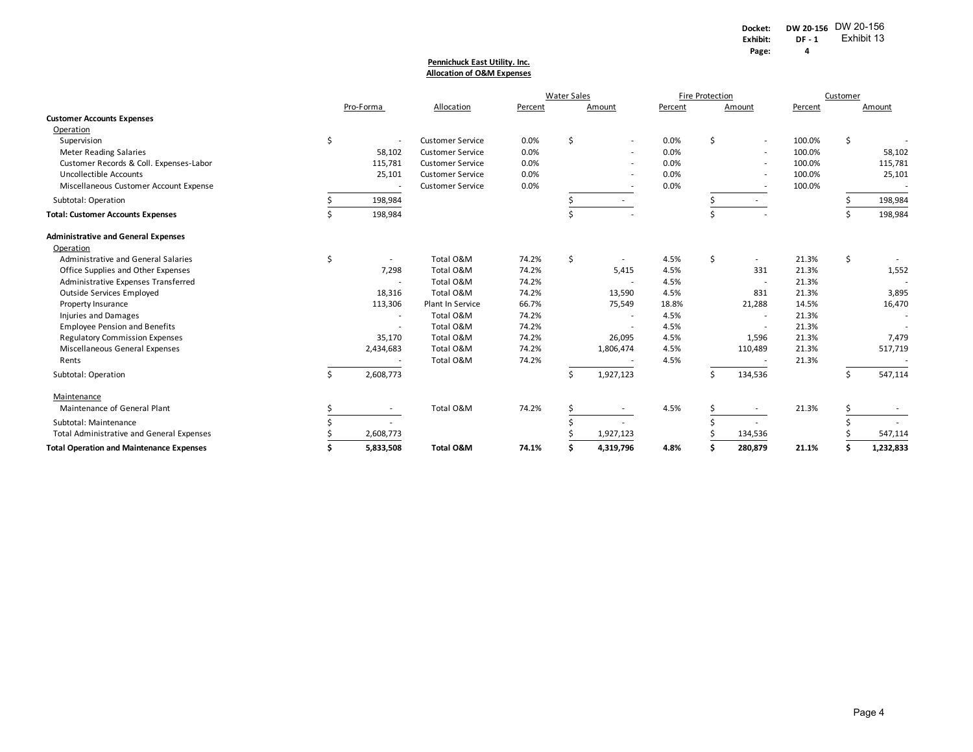#### **Pennichuck East Utility. Inc. Allocation of O&M Expenses**

|                                                  |    |           |                         |         | <b>Water Sales</b> |                          | Fire Protection |    |                          | Customer |    |           |
|--------------------------------------------------|----|-----------|-------------------------|---------|--------------------|--------------------------|-----------------|----|--------------------------|----------|----|-----------|
|                                                  |    | Pro-Forma | Allocation              | Percent |                    | Amount                   | Percent         |    | Amount                   | Percent  |    | Amount    |
| <b>Customer Accounts Expenses</b>                |    |           |                         |         |                    |                          |                 |    |                          |          |    |           |
| Operation                                        |    |           |                         |         |                    |                          |                 |    |                          |          |    |           |
| Supervision                                      | \$ |           | <b>Customer Service</b> | 0.0%    | \$                 |                          | 0.0%            | \$ | $\sim$                   | 100.0%   | \$ |           |
| <b>Meter Reading Salaries</b>                    |    | 58,102    | <b>Customer Service</b> | 0.0%    |                    | $\overline{\phantom{a}}$ | 0.0%            |    | $\overline{\phantom{a}}$ | 100.0%   |    | 58,102    |
| Customer Records & Coll. Expenses-Labor          |    | 115,781   | <b>Customer Service</b> | 0.0%    |                    | $\overline{\phantom{a}}$ | 0.0%            |    |                          | 100.0%   |    | 115,781   |
| <b>Uncollectible Accounts</b>                    |    | 25,101    | <b>Customer Service</b> | 0.0%    |                    |                          | 0.0%            |    |                          | 100.0%   |    | 25,101    |
| Miscellaneous Customer Account Expense           |    |           | <b>Customer Service</b> | 0.0%    |                    |                          | 0.0%            |    |                          | 100.0%   |    |           |
| Subtotal: Operation                              |    | 198,984   |                         |         |                    |                          |                 |    |                          |          |    | 198,984   |
| <b>Total: Customer Accounts Expenses</b>         |    | 198,984   |                         |         |                    |                          |                 |    |                          |          |    | 198,984   |
| <b>Administrative and General Expenses</b>       |    |           |                         |         |                    |                          |                 |    |                          |          |    |           |
| Operation                                        |    |           |                         |         |                    |                          |                 |    |                          |          |    |           |
| Administrative and General Salaries              | \$ | $\sim$    | Total O&M               | 74.2%   | Ś                  | $\overline{\phantom{a}}$ | 4.5%            | Ś. | $\sim$                   | 21.3%    | \$ |           |
| Office Supplies and Other Expenses               |    | 7,298     | Total O&M               | 74.2%   |                    | 5,415                    | 4.5%            |    | 331                      | 21.3%    |    | 1,552     |
| Administrative Expenses Transferred              |    |           | Total O&M               | 74.2%   |                    | $\sim$                   | 4.5%            |    | $\overline{\phantom{a}}$ | 21.3%    |    |           |
| Outside Services Employed                        |    | 18,316    | Total O&M               | 74.2%   |                    | 13,590                   | 4.5%            |    | 831                      | 21.3%    |    | 3,895     |
| Property Insurance                               |    | 113,306   | Plant In Service        | 66.7%   |                    | 75,549                   | 18.8%           |    | 21,288                   | 14.5%    |    | 16,470    |
| <b>Injuries and Damages</b>                      |    |           | Total O&M               | 74.2%   |                    | ٠                        | 4.5%            |    | $\overline{\phantom{a}}$ | 21.3%    |    |           |
| <b>Employee Pension and Benefits</b>             |    |           | Total O&M               | 74.2%   |                    |                          | 4.5%            |    |                          | 21.3%    |    |           |
| <b>Regulatory Commission Expenses</b>            |    | 35,170    | Total O&M               | 74.2%   |                    | 26,095                   | 4.5%            |    | 1,596                    | 21.3%    |    | 7,479     |
| Miscellaneous General Expenses                   |    | 2,434,683 | Total O&M               | 74.2%   |                    | 1,806,474                | 4.5%            |    | 110,489                  | 21.3%    |    | 517,719   |
| Rents                                            |    |           | Total O&M               | 74.2%   |                    |                          | 4.5%            |    |                          | 21.3%    |    |           |
| Subtotal: Operation                              | Ś. | 2,608,773 |                         |         |                    | 1,927,123                |                 |    | 134,536                  |          | \$ | 547,114   |
| Maintenance                                      |    |           |                         |         |                    |                          |                 |    |                          |          |    |           |
| Maintenance of General Plant                     |    | $\sim$    | Total O&M               | 74.2%   |                    | $\overline{\phantom{a}}$ | 4.5%            |    | ٠                        | 21.3%    |    |           |
| Subtotal: Maintenance                            |    |           |                         |         |                    |                          |                 |    |                          |          |    |           |
| <b>Total Administrative and General Expenses</b> |    | 2,608,773 |                         |         |                    | 1,927,123                |                 |    | 134,536                  |          |    | 547,114   |
| <b>Total Operation and Maintenance Expenses</b>  |    | 5,833,508 | <b>Total O&amp;M</b>    | 74.1%   |                    | 4,319,796                | 4.8%            |    | 280,879                  | 21.1%    |    | 1,232,833 |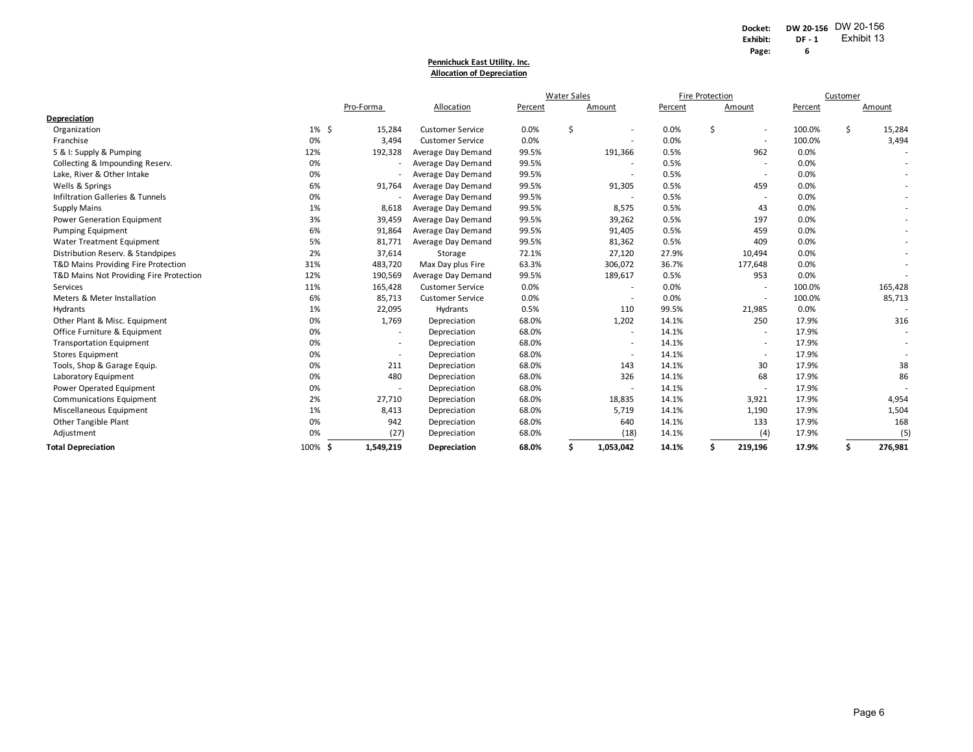#### **Allocation of Depreciation Pennichuck East Utility. Inc.**

|                                             |           |           |                         |         | <b>Water Sales</b> |                          | Fire Protection |    |                          | Customer |    |         |
|---------------------------------------------|-----------|-----------|-------------------------|---------|--------------------|--------------------------|-----------------|----|--------------------------|----------|----|---------|
|                                             |           | Pro-Forma | Allocation              | Percent |                    | Amount                   | Percent         |    | Amount                   | Percent  |    | Amount  |
| <b>Depreciation</b>                         |           |           |                         |         |                    |                          |                 |    |                          |          |    |         |
| Organization                                | $1\%$ \$  | 15,284    | <b>Customer Service</b> | 0.0%    | \$                 | ٠                        | 0.0%            | \$ | $\overline{\phantom{a}}$ | 100.0%   | \$ | 15,284  |
| Franchise                                   | 0%        | 3,494     | <b>Customer Service</b> | 0.0%    |                    |                          | 0.0%            |    | $\overline{\phantom{a}}$ | 100.0%   |    | 3,494   |
| S & I: Supply & Pumping                     | 12%       | 192,328   | Average Day Demand      | 99.5%   |                    | 191,366                  | 0.5%            |    | 962                      | 0.0%     |    |         |
| Collecting & Impounding Reserv.             | 0%        |           | Average Day Demand      | 99.5%   |                    |                          | 0.5%            |    | $\overline{\phantom{a}}$ | 0.0%     |    |         |
| Lake, River & Other Intake                  | 0%        |           | Average Day Demand      | 99.5%   |                    |                          | 0.5%            |    | $\overline{\phantom{a}}$ | 0.0%     |    |         |
| Wells & Springs                             | 6%        | 91,764    | Average Day Demand      | 99.5%   |                    | 91,305                   | 0.5%            |    | 459                      | 0.0%     |    |         |
| <b>Infiltration Galleries &amp; Tunnels</b> | 0%        |           | Average Day Demand      | 99.5%   |                    |                          | 0.5%            |    | $\overline{\phantom{a}}$ | 0.0%     |    |         |
| <b>Supply Mains</b>                         | 1%        | 8,618     | Average Day Demand      | 99.5%   |                    | 8,575                    | 0.5%            |    | 43                       | 0.0%     |    |         |
| Power Generation Equipment                  | 3%        | 39,459    | Average Day Demand      | 99.5%   |                    | 39,262                   | 0.5%            |    | 197                      | 0.0%     |    | ۰.      |
| Pumping Equipment                           | 6%        | 91,864    | Average Day Demand      | 99.5%   |                    | 91,405                   | 0.5%            |    | 459                      | 0.0%     |    |         |
| <b>Water Treatment Equipment</b>            | 5%        | 81,771    | Average Day Demand      | 99.5%   |                    | 81,362                   | 0.5%            |    | 409                      | 0.0%     |    |         |
| Distribution Reserv. & Standpipes           | 2%        | 37,614    | Storage                 | 72.1%   |                    | 27,120                   | 27.9%           |    | 10,494                   | 0.0%     |    |         |
| T&D Mains Providing Fire Protection         | 31%       | 483,720   | Max Day plus Fire       | 63.3%   |                    | 306,072                  | 36.7%           |    | 177,648                  | 0.0%     |    | ٠       |
| T&D Mains Not Providing Fire Protection     | 12%       | 190,569   | Average Day Demand      | 99.5%   |                    | 189,617                  | 0.5%            |    | 953                      | 0.0%     |    |         |
| Services                                    | 11%       | 165,428   | <b>Customer Service</b> | 0.0%    |                    | $\sim$                   | 0.0%            |    | $\overline{\phantom{a}}$ | 100.0%   |    | 165,428 |
| Meters & Meter Installation                 | 6%        | 85,713    | <b>Customer Service</b> | 0.0%    |                    |                          | 0.0%            |    | $\sim$                   | 100.0%   |    | 85,713  |
| Hydrants                                    | 1%        | 22,095    | Hydrants                | 0.5%    |                    | 110                      | 99.5%           |    | 21,985                   | 0.0%     |    |         |
| Other Plant & Misc. Equipment               | 0%        | 1,769     | Depreciation            | 68.0%   |                    | 1,202                    | 14.1%           |    | 250                      | 17.9%    |    | 316     |
| Office Furniture & Equipment                | 0%        |           | Depreciation            | 68.0%   |                    | $\sim$                   | 14.1%           |    | $\overline{\phantom{a}}$ | 17.9%    |    |         |
| <b>Transportation Equipment</b>             | 0%        |           | Depreciation            | 68.0%   |                    | $\overline{\phantom{a}}$ | 14.1%           |    | $\overline{\phantom{a}}$ | 17.9%    |    | ٠       |
| <b>Stores Equipment</b>                     | 0%        |           | Depreciation            | 68.0%   |                    | ٠                        | 14.1%           |    | $\overline{\phantom{a}}$ | 17.9%    |    |         |
| Tools, Shop & Garage Equip.                 | 0%        | 211       | Depreciation            | 68.0%   |                    | 143                      | 14.1%           |    | 30                       | 17.9%    |    | 38      |
| Laboratory Equipment                        | 0%        | 480       | Depreciation            | 68.0%   |                    | 326                      | 14.1%           |    | 68                       | 17.9%    |    | 86      |
| Power Operated Equipment                    | 0%        |           | Depreciation            | 68.0%   |                    |                          | 14.1%           |    | $\overline{\phantom{a}}$ | 17.9%    |    |         |
| Communications Equipment                    | 2%        | 27,710    | Depreciation            | 68.0%   |                    | 18,835                   | 14.1%           |    | 3,921                    | 17.9%    |    | 4,954   |
| Miscellaneous Equipment                     | 1%        | 8,413     | Depreciation            | 68.0%   |                    | 5,719                    | 14.1%           |    | 1,190                    | 17.9%    |    | 1,504   |
| Other Tangible Plant                        | 0%        | 942       | Depreciation            | 68.0%   |                    | 640                      | 14.1%           |    | 133                      | 17.9%    |    | 168     |
| Adjustment                                  | 0%        | (27)      | Depreciation            | 68.0%   |                    | (18)                     | 14.1%           |    | (4)                      | 17.9%    |    | (5)     |
| <b>Total Depreciation</b>                   | 100%<br>Ŝ | 1,549,219 | Depreciation            | 68.0%   | Ś                  | 1,053,042                | 14.1%           |    | 219,196                  | 17.9%    |    | 276,981 |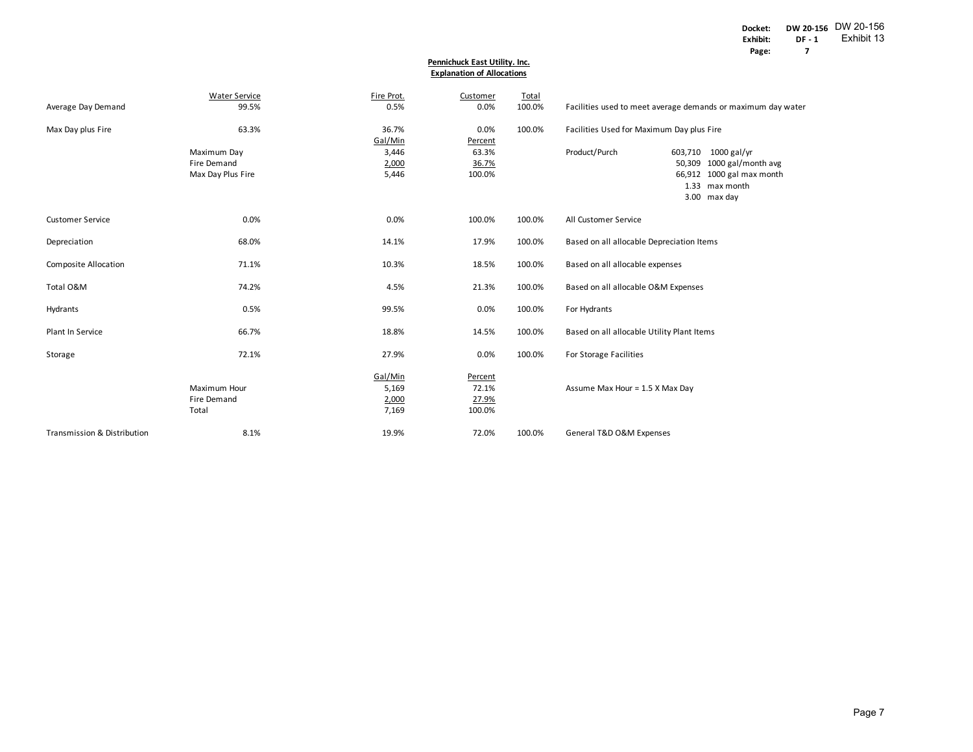#### **Explanation of Allocations Pennichuck East Utility. Inc.**

|                             | <b>Water Service</b>                                   | Fire Prot.                         | Customer                            | Total  |                                            |                                                                                                                      |
|-----------------------------|--------------------------------------------------------|------------------------------------|-------------------------------------|--------|--------------------------------------------|----------------------------------------------------------------------------------------------------------------------|
| Average Day Demand          | 99.5%                                                  | 0.5%                               | 0.0%                                | 100.0% |                                            | Facilities used to meet average demands or maximum day water                                                         |
| Max Day plus Fire           | 63.3%                                                  | 36.7%                              | 0.0%                                | 100.0% |                                            | Facilities Used for Maximum Day plus Fire                                                                            |
|                             | Maximum Day<br><b>Fire Demand</b><br>Max Day Plus Fire | Gal/Min<br>3,446<br>2,000<br>5,446 | Percent<br>63.3%<br>36.7%<br>100.0% |        | Product/Purch                              | $1000$ gal/yr<br>603,710<br>50,309 1000 gal/month avg<br>66,912 1000 gal max month<br>1.33 max month<br>3.00 max day |
| <b>Customer Service</b>     | 0.0%                                                   | 0.0%                               | 100.0%                              | 100.0% | All Customer Service                       |                                                                                                                      |
| Depreciation                | 68.0%                                                  | 14.1%                              | 17.9%                               | 100.0% | Based on all allocable Depreciation Items  |                                                                                                                      |
| Composite Allocation        | 71.1%                                                  | 10.3%                              | 18.5%                               | 100.0% | Based on all allocable expenses            |                                                                                                                      |
| Total O&M                   | 74.2%                                                  | 4.5%                               | 21.3%                               | 100.0% | Based on all allocable O&M Expenses        |                                                                                                                      |
| Hydrants                    | 0.5%                                                   | 99.5%                              | 0.0%                                | 100.0% | For Hydrants                               |                                                                                                                      |
| Plant In Service            | 66.7%                                                  | 18.8%                              | 14.5%                               | 100.0% | Based on all allocable Utility Plant Items |                                                                                                                      |
| Storage                     | 72.1%                                                  | 27.9%                              | 0.0%                                | 100.0% | For Storage Facilities                     |                                                                                                                      |
|                             | Maximum Hour<br>Fire Demand<br>Total                   | Gal/Min<br>5,169<br>2,000<br>7,169 | Percent<br>72.1%<br>27.9%<br>100.0% |        | Assume Max Hour = 1.5 X Max Day            |                                                                                                                      |
| Transmission & Distribution | 8.1%                                                   | 19.9%                              | 72.0%                               | 100.0% | General T&D O&M Expenses                   |                                                                                                                      |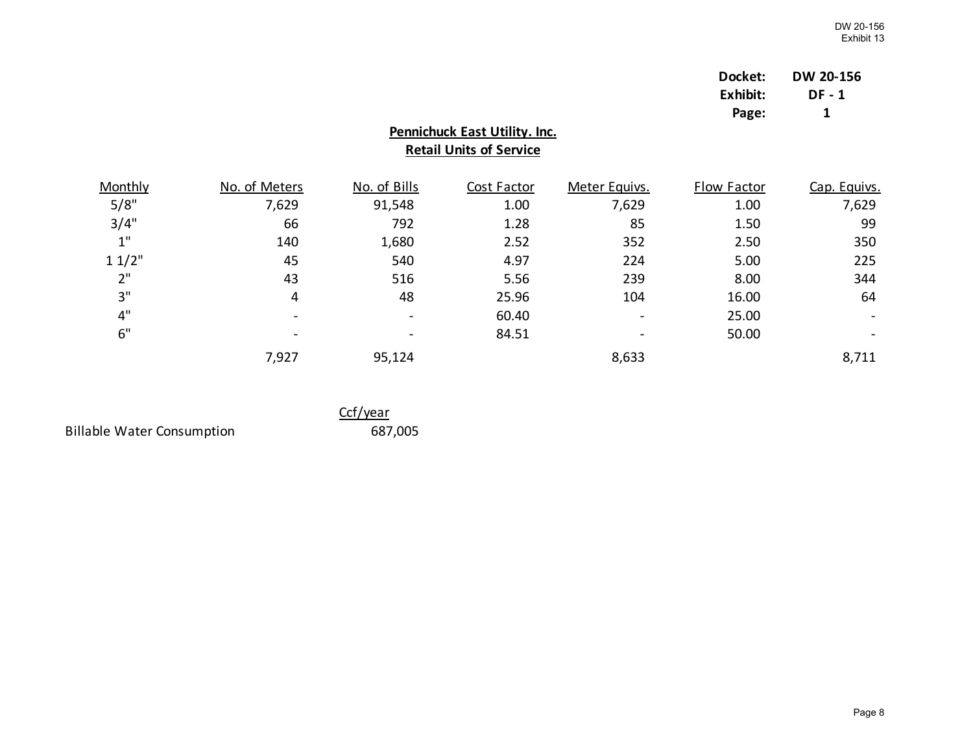| Docket:  | DW 20-156 |
|----------|-----------|
| Exhibit: | DF - 1    |
| Page:    | 1         |

# **Retail Units of Service Pennichuck East Utility. Inc.**

| Monthly | No. of Meters   | No. of Bills | Cost Factor | Meter Equivs.            | Flow Factor | Cap. Equivs. |
|---------|-----------------|--------------|-------------|--------------------------|-------------|--------------|
| 5/8"    | 7,629           | 91,548       | 1.00        | 7,629                    | 1.00        | 7,629        |
| 3/4"    | 66              | 792          | 1.28        | 85                       | 1.50        | 99           |
| 1"      | 140             | 1,680        | 2.52        | 352                      | 2.50        | 350          |
| 11/2"   | 45              | 540          | 4.97        | 224                      | 5.00        | 225          |
| 2"      | 43              | 516          | 5.56        | 239                      | 8.00        | 344          |
| 3"      | 4               | 48           | 25.96       | 104                      | 16.00       | 64           |
| 4"      | $\qquad \qquad$ |              | 60.40       | $\overline{\phantom{0}}$ | 25.00       |              |
| 6"      | $\qquad \qquad$ |              | 84.51       |                          | 50.00       |              |
|         | 7,927           | 95,124       |             | 8,633                    |             | 8,711        |

Billable Water Consumption 687,005

Ccf/year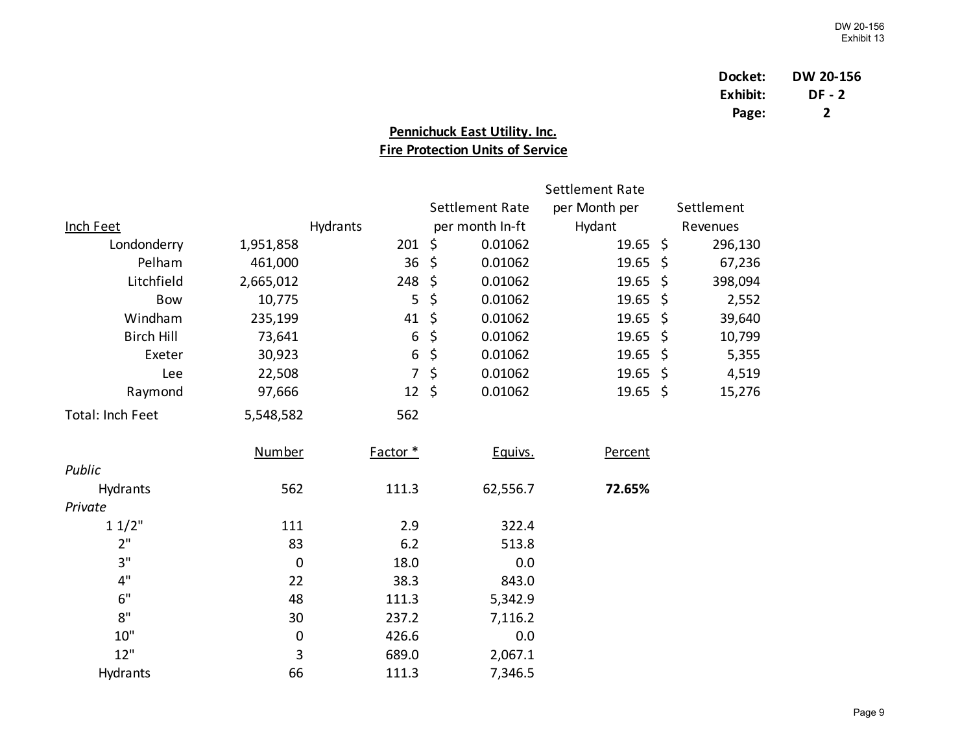| Docket:  | DW 20-156 |
|----------|-----------|
| Exhibit: | DF - 2    |
| Page:    | 2         |

# **Pennichuck East Utility. Inc. Fire Protection Units of Service**

|                   |               |                  |                        | Settlement Rate     |     |            |
|-------------------|---------------|------------------|------------------------|---------------------|-----|------------|
|                   |               |                  | <b>Settlement Rate</b> | per Month per       |     | Settlement |
| <b>Inch Feet</b>  |               | Hydrants         | per month In-ft        | Hydant              |     | Revenues   |
| Londonderry       | 1,951,858     | 201              | \$<br>0.01062          | $19.65 \; \simeq$   |     | 296,130    |
| Pelham            | 461,000       | 36               | \$<br>0.01062          | $19.65 \; \text{S}$ |     | 67,236     |
| Litchfield        | 2,665,012     | 248              | \$<br>0.01062          | 19.65               | \$  | 398,094    |
| <b>Bow</b>        | 10,775        | 5                | \$<br>0.01062          | 19.65               | \$  | 2,552      |
| Windham           | 235,199       | 41               | \$<br>0.01062          | 19.65               | \$  | 39,640     |
| <b>Birch Hill</b> | 73,641        | 6                | \$<br>0.01062          | 19.65               | -\$ | 10,799     |
| Exeter            | 30,923        | $\boldsymbol{6}$ | \$<br>0.01062          | 19.65               | \$  | 5,355      |
| Lee               | 22,508        | $\overline{7}$   | \$<br>0.01062          | 19.65               | -\$ | 4,519      |
| Raymond           | 97,666        | $12 \; \xi$      | 0.01062                | $19.65$ \$          |     | 15,276     |
| Total: Inch Feet  | 5,548,582     | 562              |                        |                     |     |            |
|                   | <b>Number</b> | Factor *         | Equivs.                | Percent             |     |            |
| Public            |               |                  |                        |                     |     |            |
| Hydrants          | 562           | 111.3            | 62,556.7               | 72.65%              |     |            |
| Private           |               |                  |                        |                     |     |            |
| 11/2"             | 111           | 2.9              | 322.4                  |                     |     |            |
| 2"                | 83            | 6.2              | 513.8                  |                     |     |            |
| 3"                | $\mathbf 0$   | 18.0             | 0.0                    |                     |     |            |
| 4"                | 22            | 38.3             | 843.0                  |                     |     |            |
| 6"                | 48            | 111.3            | 5,342.9                |                     |     |            |
| 8"                | 30            | 237.2            | 7,116.2                |                     |     |            |
| 10"               | $\pmb{0}$     | 426.6            | 0.0                    |                     |     |            |
| 12"               | 3             | 689.0            | 2,067.1                |                     |     |            |
| Hydrants          | 66            | 111.3            | 7,346.5                |                     |     |            |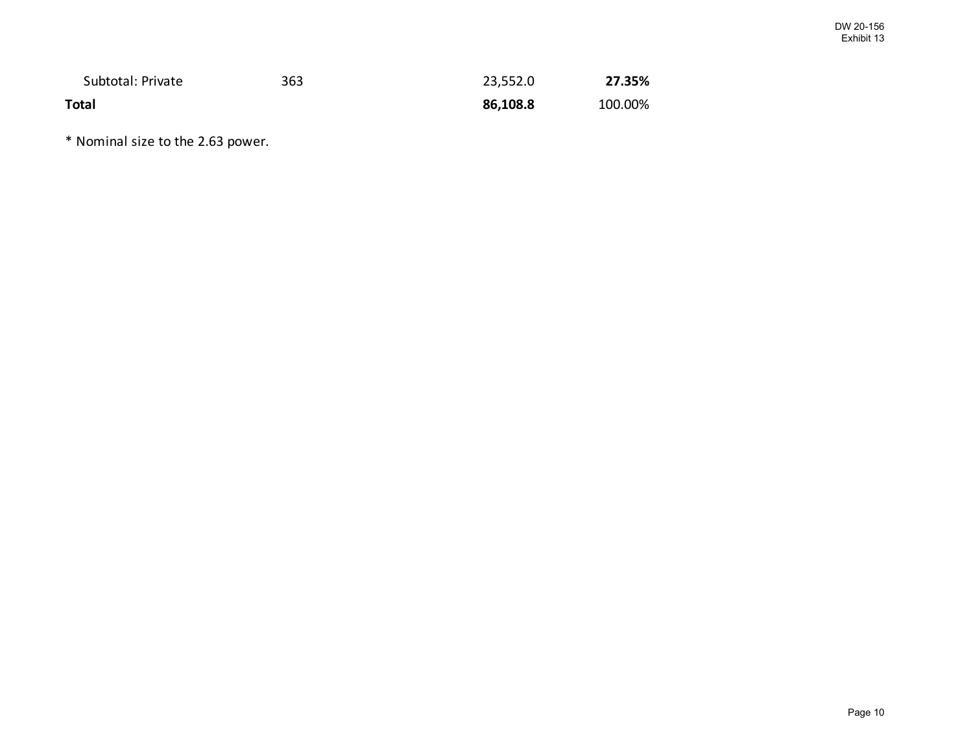| Subtotal: Private | 363 | 23,552.0 | 27.35%  |
|-------------------|-----|----------|---------|
| <b>Total</b>      |     | 86,108.8 | 100.00% |

\* Nominal size to the 2.63 power.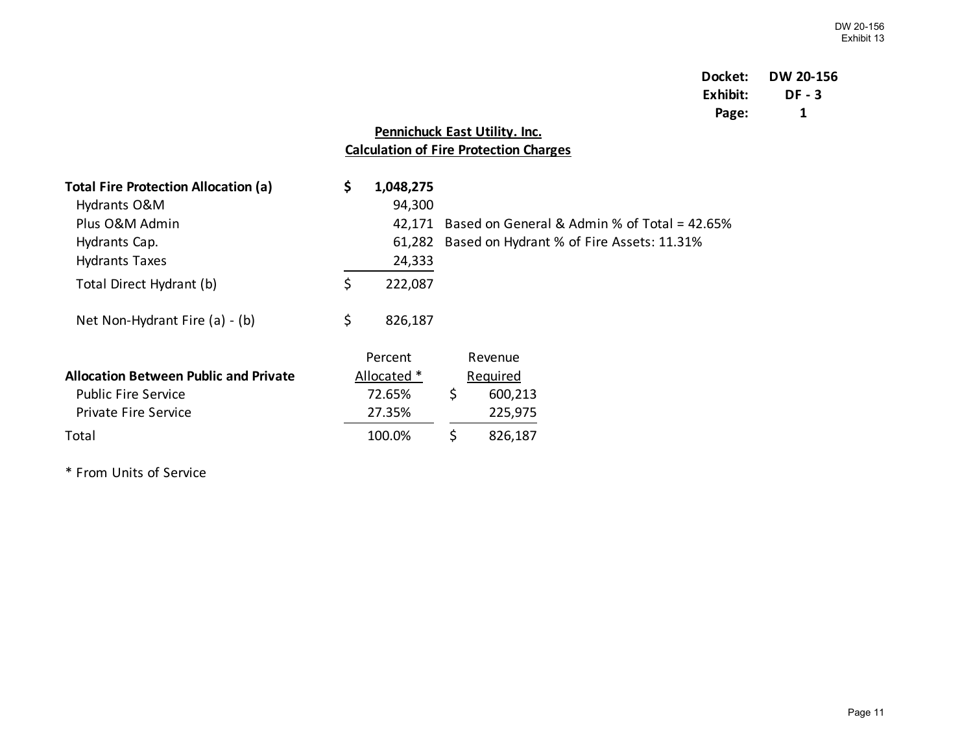# **Docket: DW 20-156 Exhibit: DF - 3 Page: 1**

# **Pennichuck East Utility. Inc. Calculation of Fire Protection Charges**

| <b>Total Fire Protection Allocation (a)</b><br>Hydrants O&M | \$<br>1,048,275<br>94,300 |                                              |
|-------------------------------------------------------------|---------------------------|----------------------------------------------|
| Plus O&M Admin                                              | 42.171                    | Based on General & Admin % of Total = 42.65% |
| Hydrants Cap.                                               | 61,282                    | Based on Hydrant % of Fire Assets: 11.31%    |
| <b>Hydrants Taxes</b>                                       | 24,333                    |                                              |
| Total Direct Hydrant (b)                                    | \$<br>222,087             |                                              |
| Net Non-Hydrant Fire (a) - (b)                              | \$<br>826,187             |                                              |
|                                                             | Percent                   | Revenue                                      |
| <b>Allocation Between Public and Private</b>                | Allocated *               | Required                                     |
| <b>Public Fire Service</b>                                  | 72.65%                    | \$<br>600,213                                |
| Private Fire Service                                        | 27.35%                    | 225,975                                      |
| Total                                                       | 100.0%                    | \$<br>826,187                                |

\* From Units of Service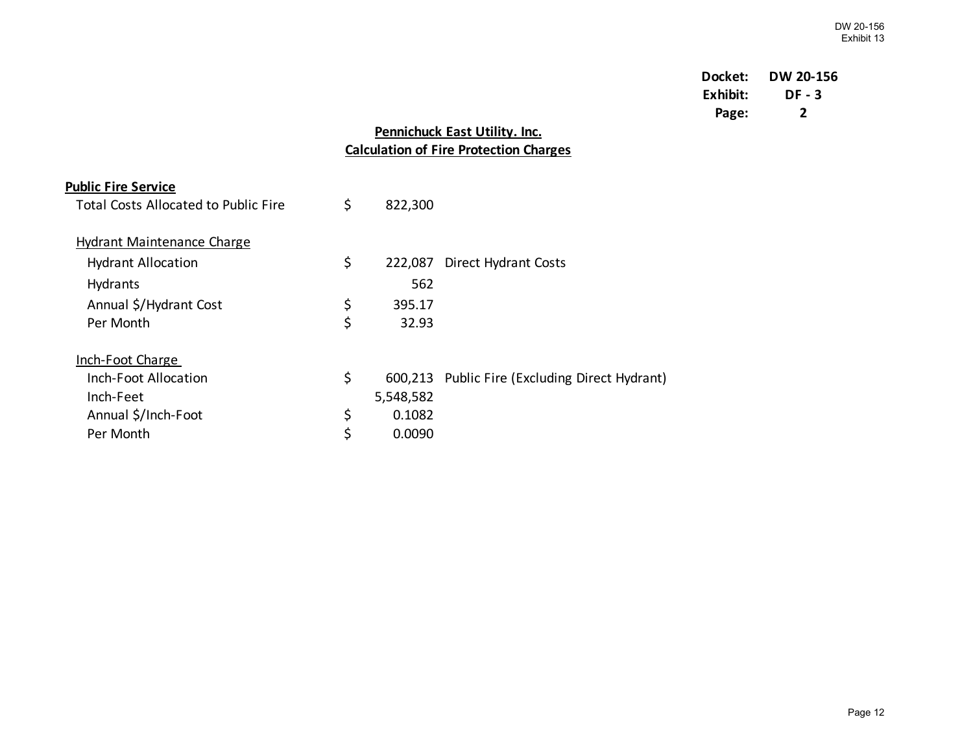# **Docket: DW 20-156 Exhibit: DF - 3 Page: 2**

## **Pennichuck East Utility. Inc. Calculation of Fire Protection Charges**

| <b>Public Fire Service</b>                  |               |                                                |
|---------------------------------------------|---------------|------------------------------------------------|
| <b>Total Costs Allocated to Public Fire</b> | \$<br>822,300 |                                                |
| <b>Hydrant Maintenance Charge</b>           |               |                                                |
| <b>Hydrant Allocation</b>                   | \$<br>222,087 | <b>Direct Hydrant Costs</b>                    |
| Hydrants                                    | 562           |                                                |
| Annual \$/Hydrant Cost                      | \$<br>395.17  |                                                |
| Per Month                                   | \$<br>32.93   |                                                |
| <b>Inch-Foot Charge</b>                     |               |                                                |
| Inch-Foot Allocation                        | \$            | 600,213 Public Fire (Excluding Direct Hydrant) |
| Inch-Feet                                   | 5,548,582     |                                                |
| Annual \$/Inch-Foot                         | \$<br>0.1082  |                                                |
| Per Month                                   | \$<br>0.0090  |                                                |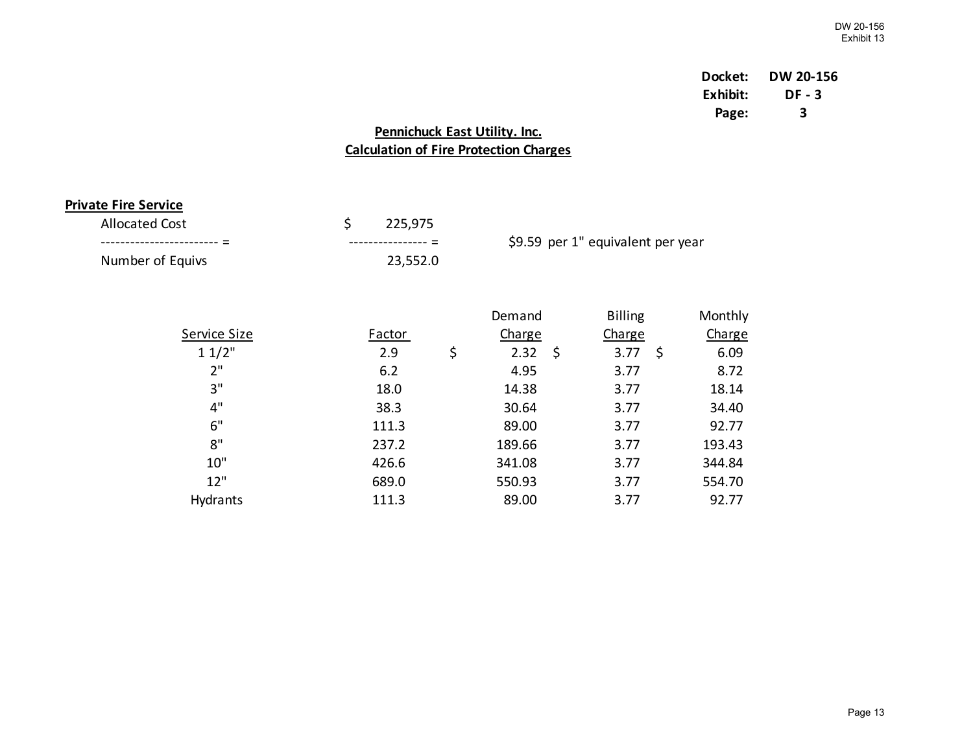# **Docket: DW 20-156 Exhibit: DF - 3 Page: 3**

# **Pennichuck East Utility. Inc. Calculation of Fire Protection Charges**

## **Private Fire Service**

| <b>Allocated Cost</b> | 225,975           |                                   |
|-----------------------|-------------------|-----------------------------------|
|                       | $\hspace{0.05cm}$ | \$9.59 per 1" equivalent per year |
| Number of Equivs      | 23,552.0          |                                   |

|                     |               | Demand           | <b>Billing</b> | Monthly       |
|---------------------|---------------|------------------|----------------|---------------|
| <b>Service Size</b> | <b>Factor</b> | Charge           | <b>Charge</b>  | <b>Charge</b> |
| 11/2"               | 2.9           | \$<br>2.32<br>\$ | 3.77<br>Ŝ.     | 6.09          |
| 2"                  | 6.2           | 4.95             | 3.77           | 8.72          |
| 3"                  | 18.0          | 14.38            | 3.77           | 18.14         |
| 4"                  | 38.3          | 30.64            | 3.77           | 34.40         |
| 6"                  | 111.3         | 89.00            | 3.77           | 92.77         |
| 8"                  | 237.2         | 189.66           | 3.77           | 193.43        |
| 10"                 | 426.6         | 341.08           | 3.77           | 344.84        |
| 12"                 | 689.0         | 550.93           | 3.77           | 554.70        |
| Hydrants            | 111.3         | 89.00            | 3.77           | 92.77         |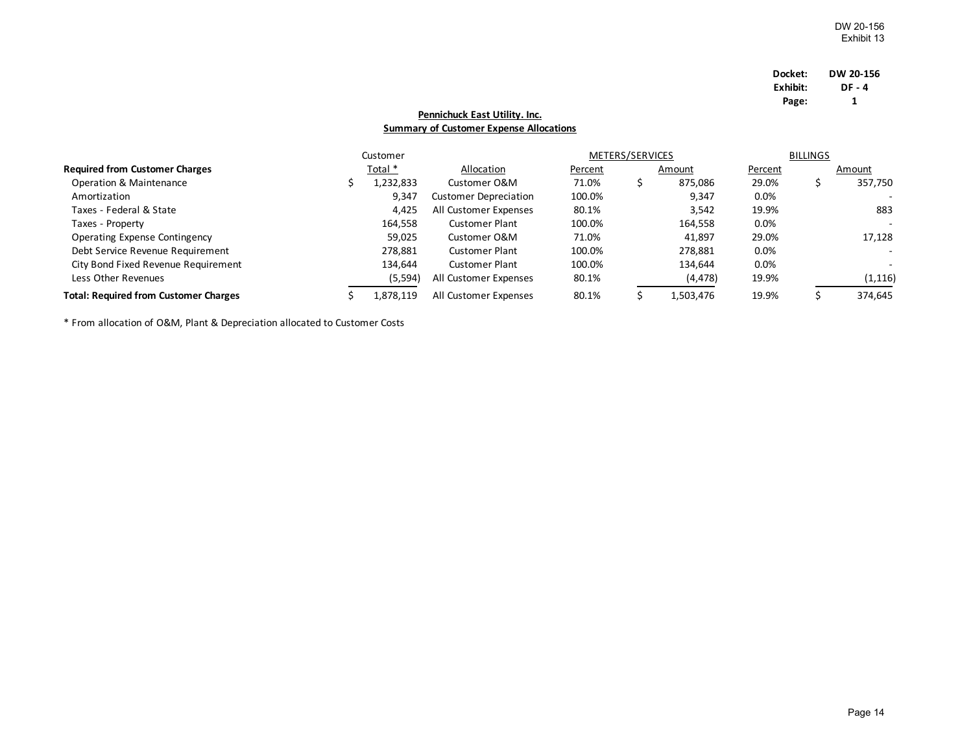| Docket:  | DW 20-156 |
|----------|-----------|
| Exhibit: | DF - 4    |
| Page:    | 1         |

## **Summary of Customer Expense Allocations Pennichuck East Utility. Inc.**

|                                              | Customer  |                              |         | METERS/SERVICES |           |         | <b>BILLINGS</b> |          |
|----------------------------------------------|-----------|------------------------------|---------|-----------------|-----------|---------|-----------------|----------|
| <b>Required from Customer Charges</b>        | Total *   | Allocation                   | Percent |                 | Amount    | Percent |                 | Amount   |
| Operation & Maintenance                      | 1,232,833 | Customer O&M                 | 71.0%   |                 | 875,086   | 29.0%   |                 | 357,750  |
| Amortization                                 | 9,347     | <b>Customer Depreciation</b> | 100.0%  |                 | 9,347     | 0.0%    |                 |          |
| Taxes - Federal & State                      | 4,425     | All Customer Expenses        | 80.1%   |                 | 3,542     | 19.9%   |                 | 883      |
| Taxes - Property                             | 164.558   | <b>Customer Plant</b>        | 100.0%  |                 | 164,558   | 0.0%    |                 |          |
| Operating Expense Contingency                | 59.025    | Customer O&M                 | 71.0%   |                 | 41,897    | 29.0%   |                 | 17,128   |
| Debt Service Revenue Requirement             | 278,881   | <b>Customer Plant</b>        | 100.0%  |                 | 278,881   | 0.0%    |                 | $\sim$   |
| City Bond Fixed Revenue Requirement          | 134.644   | <b>Customer Plant</b>        | 100.0%  |                 | 134,644   | 0.0%    |                 |          |
| Less Other Revenues                          | (5, 594)  | All Customer Expenses        | 80.1%   |                 | (4, 478)  | 19.9%   |                 | (1, 116) |
| <b>Total: Required from Customer Charges</b> | 1,878,119 | All Customer Expenses        | 80.1%   |                 | 1,503,476 | 19.9%   |                 | 374,645  |

\* From allocation of O&M, Plant & Depreciation allocated to Customer Costs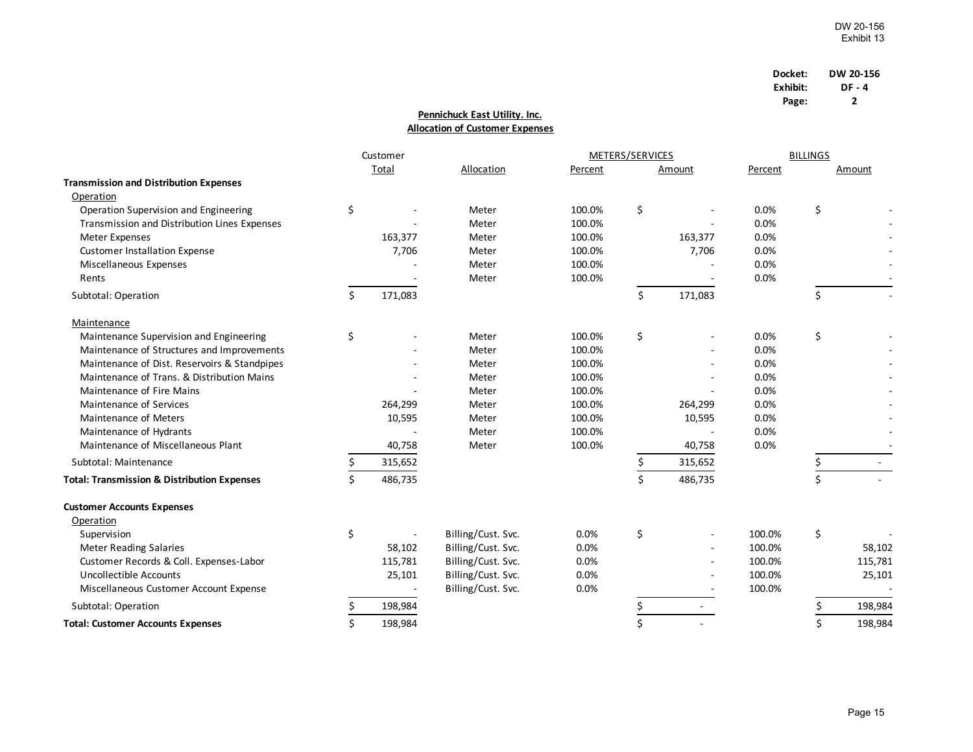| Docket:  | DW 20-156 |
|----------|-----------|
| Exhibit: | DF - 4    |
| Page:    | 2         |

## **Pennichuck East Utility. Inc. Allocation of Customer Expenses**

|                                                        |    | Customer |                    |         | METERS/SERVICES |         | <b>BILLINGS</b> |    |         |
|--------------------------------------------------------|----|----------|--------------------|---------|-----------------|---------|-----------------|----|---------|
|                                                        |    | Total    | Allocation         | Percent |                 | Amount  | Percent         |    | Amount  |
| <b>Transmission and Distribution Expenses</b>          |    |          |                    |         |                 |         |                 |    |         |
| Operation                                              |    |          |                    |         |                 |         |                 |    |         |
| Operation Supervision and Engineering                  | \$ |          | Meter              | 100.0%  | \$              |         | 0.0%            | \$ |         |
| Transmission and Distribution Lines Expenses           |    |          | Meter              | 100.0%  |                 |         | 0.0%            |    |         |
| Meter Expenses                                         |    | 163,377  | Meter              | 100.0%  |                 | 163,377 | 0.0%            |    |         |
| <b>Customer Installation Expense</b>                   |    | 7,706    | Meter              | 100.0%  |                 | 7,706   | 0.0%            |    |         |
| Miscellaneous Expenses                                 |    |          | Meter              | 100.0%  |                 |         | 0.0%            |    |         |
| Rents                                                  |    |          | Meter              | 100.0%  |                 |         | 0.0%            |    |         |
| Subtotal: Operation                                    | Ś. | 171,083  |                    |         | \$              | 171,083 |                 | \$ |         |
| Maintenance                                            |    |          |                    |         |                 |         |                 |    |         |
| Maintenance Supervision and Engineering                | \$ |          | Meter              | 100.0%  | \$              |         | 0.0%            | \$ |         |
| Maintenance of Structures and Improvements             |    |          | Meter              | 100.0%  |                 |         | 0.0%            |    |         |
| Maintenance of Dist. Reservoirs & Standpipes           |    |          | Meter              | 100.0%  |                 |         | 0.0%            |    |         |
| Maintenance of Trans, & Distribution Mains             |    |          | Meter              | 100.0%  |                 |         | 0.0%            |    |         |
| Maintenance of Fire Mains                              |    |          | Meter              | 100.0%  |                 |         | 0.0%            |    |         |
| <b>Maintenance of Services</b>                         |    | 264,299  | Meter              | 100.0%  |                 | 264,299 | 0.0%            |    |         |
| Maintenance of Meters                                  |    | 10,595   | Meter              | 100.0%  |                 | 10,595  | 0.0%            |    |         |
| Maintenance of Hydrants                                |    |          | Meter              | 100.0%  |                 |         | 0.0%            |    |         |
| Maintenance of Miscellaneous Plant                     |    | 40,758   | Meter              | 100.0%  |                 | 40,758  | 0.0%            |    |         |
| Subtotal: Maintenance                                  | \$ | 315,652  |                    |         | \$              | 315,652 |                 | \$ |         |
| <b>Total: Transmission &amp; Distribution Expenses</b> | \$ | 486,735  |                    |         | \$              | 486,735 |                 | \$ |         |
| <b>Customer Accounts Expenses</b>                      |    |          |                    |         |                 |         |                 |    |         |
| Operation                                              |    |          |                    |         |                 |         |                 |    |         |
| Supervision                                            | \$ |          | Billing/Cust. Svc. | 0.0%    | \$              |         | 100.0%          | \$ |         |
| <b>Meter Reading Salaries</b>                          |    | 58,102   | Billing/Cust. Svc. | 0.0%    |                 |         | 100.0%          |    | 58,102  |
| Customer Records & Coll. Expenses-Labor                |    | 115,781  | Billing/Cust. Svc. | 0.0%    |                 |         | 100.0%          |    | 115,781 |
| Uncollectible Accounts                                 |    | 25,101   | Billing/Cust. Svc. | 0.0%    |                 |         | 100.0%          |    | 25,101  |
| Miscellaneous Customer Account Expense                 |    |          | Billing/Cust. Svc. | 0.0%    |                 |         | 100.0%          |    |         |
| Subtotal: Operation                                    | \$ | 198,984  |                    |         | \$              |         |                 |    | 198,984 |
| <b>Total: Customer Accounts Expenses</b>               | Ś  | 198,984  |                    |         | \$              |         |                 | Ś  | 198,984 |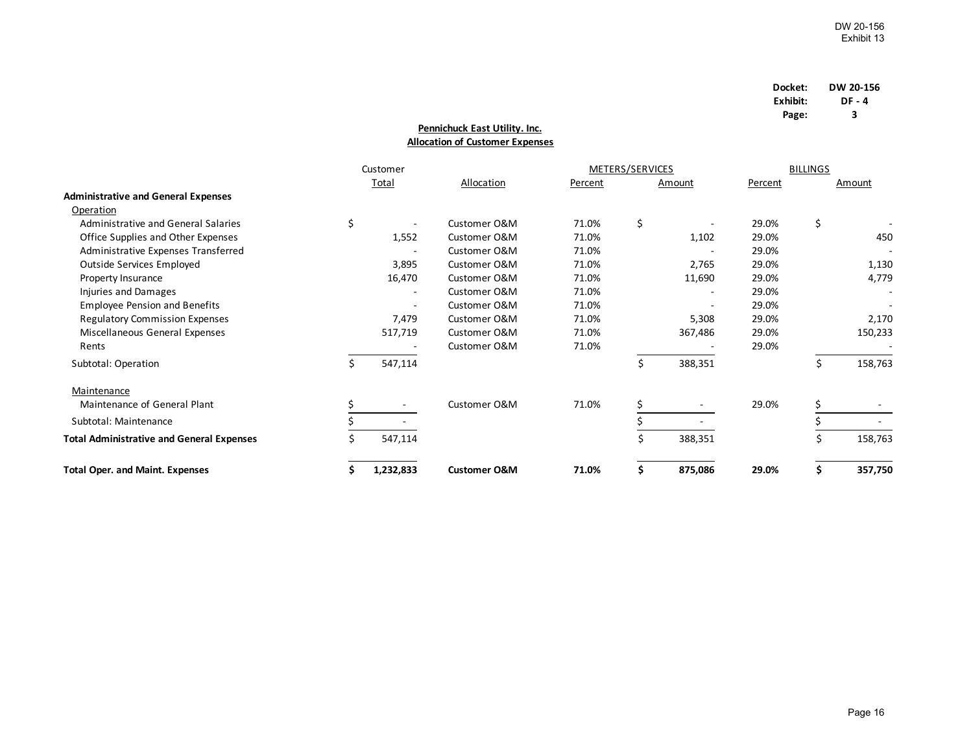| Docket:  | DW 20-156 |
|----------|-----------|
| Exhibit: | DF - 4    |
| Page:    | з         |

## **Allocation of Customer Expenses Pennichuck East Utility. Inc.**

|                                                  | Customer |                          |                         | METERS/SERVICES |     | <b>BILLINGS</b>          |         |    |         |
|--------------------------------------------------|----------|--------------------------|-------------------------|-----------------|-----|--------------------------|---------|----|---------|
|                                                  |          | <b>Total</b>             | Allocation              | Percent         |     | Amount                   | Percent |    | Amount  |
| <b>Administrative and General Expenses</b>       |          |                          |                         |                 |     |                          |         |    |         |
| Operation                                        |          |                          |                         |                 |     |                          |         |    |         |
| Administrative and General Salaries              | \$       |                          | Customer O&M            | 71.0%           | \$  | $\overline{\phantom{a}}$ | 29.0%   | \$ |         |
| Office Supplies and Other Expenses               |          | 1,552                    | Customer O&M            | 71.0%           |     | 1,102                    | 29.0%   |    | 450     |
| Administrative Expenses Transferred              |          |                          | Customer O&M            | 71.0%           |     |                          | 29.0%   |    |         |
| Outside Services Employed                        |          | 3,895                    | Customer O&M            | 71.0%           |     | 2,765                    | 29.0%   |    | 1,130   |
| Property Insurance                               |          | 16,470                   | Customer O&M            | 71.0%           |     | 11,690                   | 29.0%   |    | 4,779   |
| Injuries and Damages                             |          | $\overline{\phantom{a}}$ | Customer O&M            | 71.0%           |     | $\overline{\phantom{a}}$ | 29.0%   |    |         |
| <b>Employee Pension and Benefits</b>             |          |                          | Customer O&M            | 71.0%           |     |                          | 29.0%   |    |         |
| <b>Regulatory Commission Expenses</b>            |          | 7,479                    | Customer O&M            | 71.0%           |     | 5,308                    | 29.0%   |    | 2,170   |
| Miscellaneous General Expenses                   |          | 517,719                  | Customer O&M            | 71.0%           |     | 367,486                  | 29.0%   |    | 150,233 |
| Rents                                            |          |                          | Customer O&M            | 71.0%           |     |                          | 29.0%   |    |         |
| Subtotal: Operation                              | \$       | 547,114                  |                         |                 | \$. | 388,351                  |         | \$ | 158,763 |
| Maintenance                                      |          |                          |                         |                 |     |                          |         |    |         |
| Maintenance of General Plant                     |          |                          | Customer O&M            | 71.0%           | Ś.  |                          | 29.0%   | \$ |         |
| Subtotal: Maintenance                            |          |                          |                         |                 |     |                          |         |    |         |
| <b>Total Administrative and General Expenses</b> |          | 547,114                  |                         |                 | \$  | 388,351                  |         | \$ | 158,763 |
| <b>Total Oper. and Maint. Expenses</b>           |          | 1,232,833                | <b>Customer O&amp;M</b> | 71.0%           | \$. | 875,086                  | 29.0%   | \$ | 357,750 |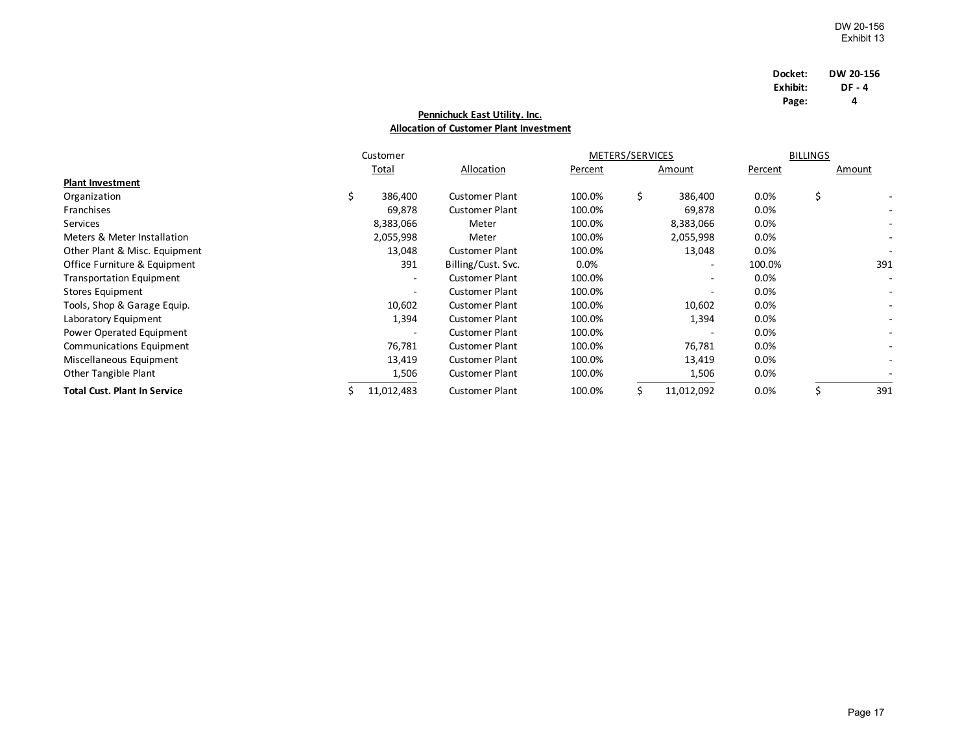| Docket:  | DW 20-156 |
|----------|-----------|
| Exhibit: | DF - 4    |
| Page:    | 4         |

## **Pennichuck East Utility. Inc. Allocation of Customer Plant Investment**

|                                     | Customer   |                       | METERS/SERVICES |    |                          | <b>BILLINGS</b> |    |        |
|-------------------------------------|------------|-----------------------|-----------------|----|--------------------------|-----------------|----|--------|
|                                     | Total      | Allocation            | Percent         |    | Amount                   | Percent         |    | Amount |
| <b>Plant Investment</b>             |            |                       |                 |    |                          |                 |    |        |
| Organization                        | 386,400    | <b>Customer Plant</b> | 100.0%          | \$ | 386,400                  | 0.0%            | \$ |        |
| Franchises                          | 69,878     | <b>Customer Plant</b> | 100.0%          |    | 69,878                   | 0.0%            |    |        |
| Services                            | 8,383,066  | Meter                 | 100.0%          |    | 8,383,066                | 0.0%            |    |        |
| Meters & Meter Installation         | 2,055,998  | Meter                 | 100.0%          |    | 2,055,998                | 0.0%            |    |        |
| Other Plant & Misc. Equipment       | 13,048     | <b>Customer Plant</b> | 100.0%          |    | 13,048                   | 0.0%            |    |        |
| Office Furniture & Equipment        | 391        | Billing/Cust. Svc.    | $0.0\%$         |    | $\overline{\phantom{a}}$ | 100.0%          |    | 391    |
| <b>Transportation Equipment</b>     | ۰.         | <b>Customer Plant</b> | 100.0%          |    | $\overline{\phantom{a}}$ | 0.0%            |    |        |
| Stores Equipment                    | ۰.         | <b>Customer Plant</b> | 100.0%          |    | $\overline{a}$           | 0.0%            |    |        |
| Tools, Shop & Garage Equip.         | 10,602     | <b>Customer Plant</b> | 100.0%          |    | 10,602                   | 0.0%            |    |        |
| Laboratory Equipment                | 1,394      | <b>Customer Plant</b> | 100.0%          |    | 1,394                    | 0.0%            |    |        |
| Power Operated Equipment            | ٠          | <b>Customer Plant</b> | 100.0%          |    |                          | 0.0%            |    |        |
| Communications Equipment            | 76,781     | <b>Customer Plant</b> | 100.0%          |    | 76,781                   | 0.0%            |    |        |
| Miscellaneous Equipment             | 13,419     | <b>Customer Plant</b> | 100.0%          |    | 13,419                   | 0.0%            |    |        |
| Other Tangible Plant                | 1,506      | <b>Customer Plant</b> | 100.0%          |    | 1,506                    | $0.0\%$         |    |        |
| <b>Total Cust. Plant In Service</b> | 11,012,483 | <b>Customer Plant</b> | 100.0%          |    | 11,012,092               | 0.0%            |    | 391    |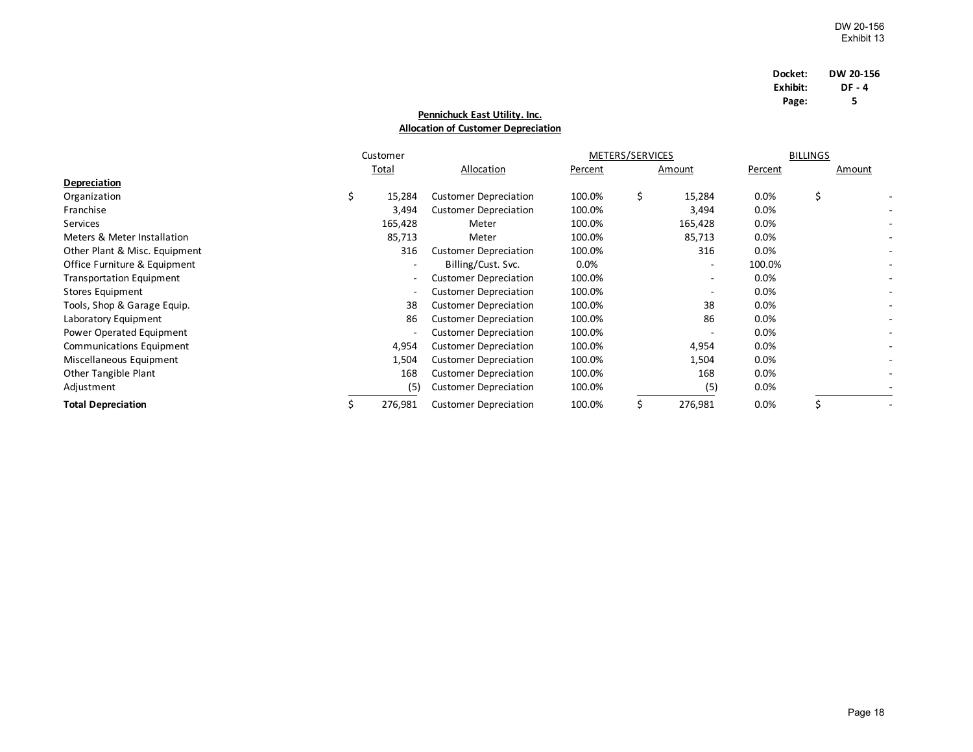| Docket:  | DW 20-156 |
|----------|-----------|
| Exhibit: | DF - 4    |
| Page:    | 5         |

## **Pennichuck East Utility. Inc. Allocation of Customer Depreciation**

|                                 | Customer |         |                              | METERS/SERVICES |    | <b>BILLINGS</b>          |         |    |        |
|---------------------------------|----------|---------|------------------------------|-----------------|----|--------------------------|---------|----|--------|
|                                 |          | Total   | Allocation                   | Percent         |    | Amount                   | Percent |    | Amount |
| <b>Depreciation</b>             |          |         |                              |                 |    |                          |         |    |        |
| Organization                    | \$       | 15,284  | <b>Customer Depreciation</b> | 100.0%          | \$ | 15,284                   | 0.0%    | \$ |        |
| Franchise                       |          | 3,494   | <b>Customer Depreciation</b> | 100.0%          |    | 3,494                    | 0.0%    |    |        |
| Services                        |          | 165,428 | Meter                        | 100.0%          |    | 165,428                  | 0.0%    |    |        |
| Meters & Meter Installation     |          | 85,713  | Meter                        | 100.0%          |    | 85,713                   | 0.0%    |    |        |
| Other Plant & Misc. Equipment   |          | 316     | <b>Customer Depreciation</b> | 100.0%          |    | 316                      | 0.0%    |    |        |
| Office Furniture & Equipment    |          | Ξ.      | Billing/Cust. Svc.           | 0.0%            |    | $\overline{\phantom{a}}$ | 100.0%  |    |        |
| <b>Transportation Equipment</b> |          |         | <b>Customer Depreciation</b> | 100.0%          |    | $\overline{\phantom{a}}$ | 0.0%    |    |        |
| Stores Equipment                |          |         | <b>Customer Depreciation</b> | 100.0%          |    | $\overline{\phantom{a}}$ | 0.0%    |    |        |
| Tools, Shop & Garage Equip.     |          | 38      | <b>Customer Depreciation</b> | 100.0%          |    | 38                       | 0.0%    |    |        |
| Laboratory Equipment            |          | 86      | <b>Customer Depreciation</b> | 100.0%          |    | 86                       | 0.0%    |    |        |
| Power Operated Equipment        |          |         | <b>Customer Depreciation</b> | 100.0%          |    |                          | 0.0%    |    |        |
| <b>Communications Equipment</b> |          | 4,954   | <b>Customer Depreciation</b> | 100.0%          |    | 4,954                    | 0.0%    |    |        |
| Miscellaneous Equipment         |          | 1,504   | <b>Customer Depreciation</b> | 100.0%          |    | 1,504                    | 0.0%    |    |        |
| Other Tangible Plant            |          | 168     | <b>Customer Depreciation</b> | 100.0%          |    | 168                      | 0.0%    |    |        |
| Adjustment                      |          | (5)     | <b>Customer Depreciation</b> | 100.0%          |    | (5)                      | 0.0%    |    |        |
| <b>Total Depreciation</b>       |          | 276,981 | <b>Customer Depreciation</b> | 100.0%          | Ś. | 276,981                  | 0.0%    |    |        |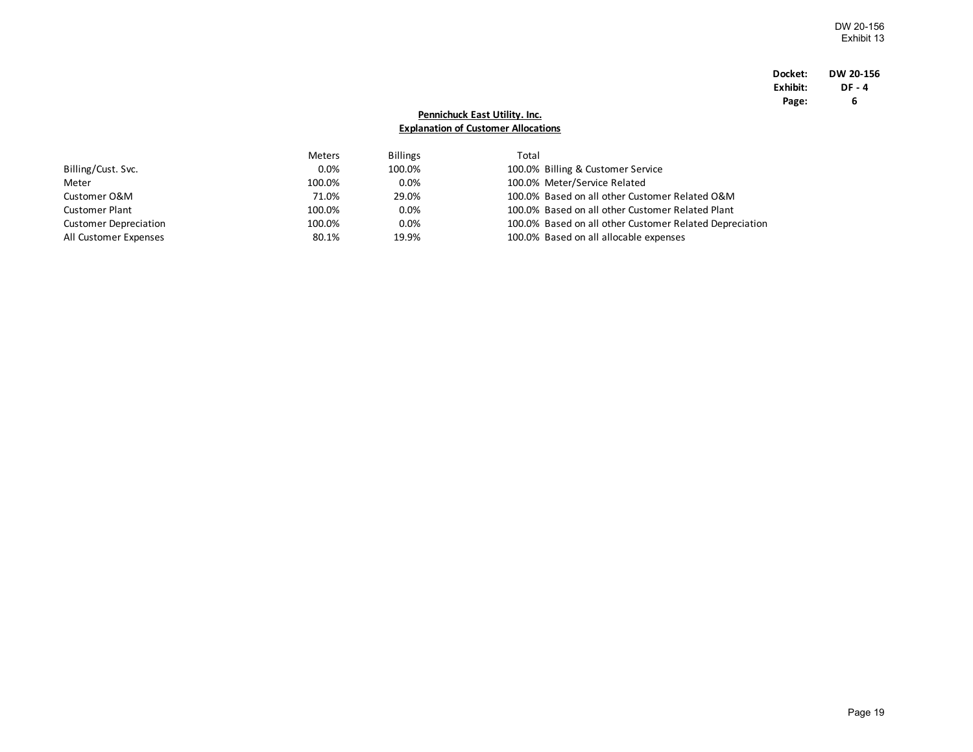### **Docket: DW 20-156 Exhibit: DF-4**<br>**Page:** 6 **Page: 6**

## **Pennichuck East Utility. Inc. Explanation of Customer Allocations**

|                              | Meters  | <b>Billings</b> | Total |                                                         |
|------------------------------|---------|-----------------|-------|---------------------------------------------------------|
| Billing/Cust. Svc.           | $0.0\%$ | 100.0%          |       | 100.0% Billing & Customer Service                       |
| Meter                        | 100.0%  | $0.0\%$         |       | 100.0% Meter/Service Related                            |
| Customer O&M                 | 71.0%   | 29.0%           |       | 100.0% Based on all other Customer Related O&M          |
| Customer Plant               | 100.0%  | 0.0%            |       | 100.0% Based on all other Customer Related Plant        |
| <b>Customer Depreciation</b> | 100.0%  | 0.0%            |       | 100.0% Based on all other Customer Related Depreciation |
| All Customer Expenses        | 80.1%   | 19.9%           |       | 100.0% Based on all allocable expenses                  |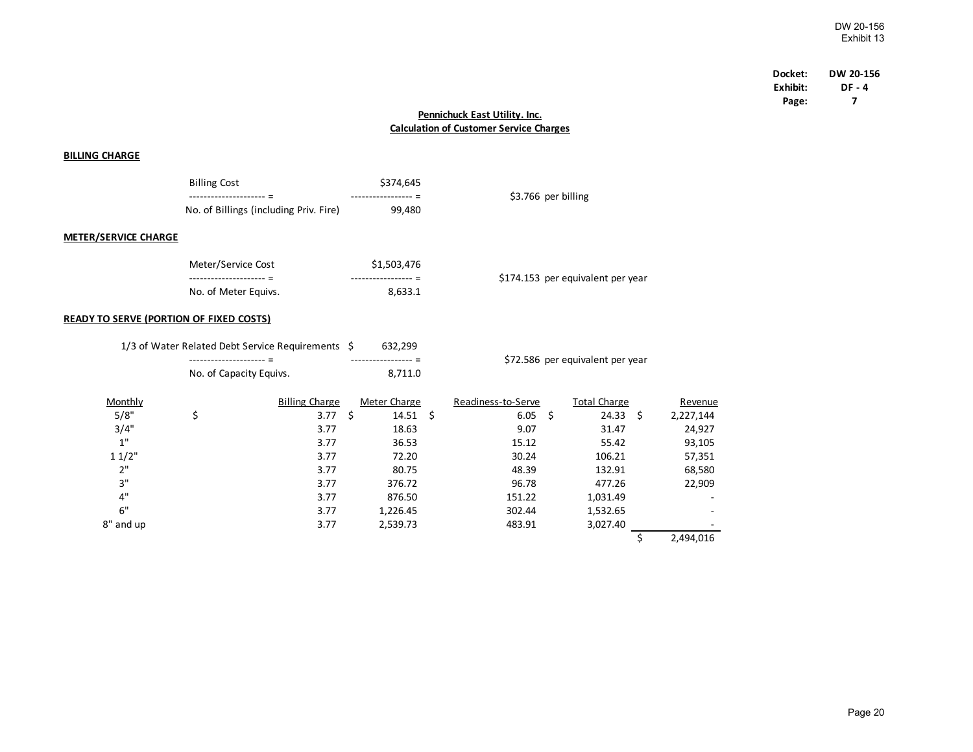| Docket:  | DW 20-156 |
|----------|-----------|
| Exhibit: | DF - 4    |
| Page:    | 7         |

## **Pennichuck East Utility. Inc. Calculation of Customer Service Charges**

### **BILLING CHARGE**

|                             | <b>Billing Cost</b>                                              | \$374,645   |                                   |
|-----------------------------|------------------------------------------------------------------|-------------|-----------------------------------|
|                             | ------------------ - -<br>No. of Billings (including Priv. Fire) | 99,480      | \$3.766 per billing               |
| <b>METER/SERVICE CHARGE</b> |                                                                  |             |                                   |
|                             | Meter/Service Cost                                               | \$1,503,476 |                                   |
|                             | ------------------                                               |             | \$174.153 per equivalent per year |

No. of Meter Equivs. 8,633.1

#### **READY TO SERVE (PORTION OF FIXED COSTS)**

|           | 1/3 of Water Related Debt Service Requirements \$ |    | 632,299          |                                  |                    |      |                     |    |           |
|-----------|---------------------------------------------------|----|------------------|----------------------------------|--------------------|------|---------------------|----|-----------|
|           | No. of Capacity Equivs.                           |    | 8,711.0          | \$72.586 per equivalent per year |                    |      |                     |    |           |
|           |                                                   |    |                  |                                  |                    |      |                     |    |           |
| Monthly   | <b>Billing Charge</b>                             |    | Meter Charge     |                                  | Readiness-to-Serve |      | <b>Total Charge</b> |    | Revenue   |
| 5/8"      | \$<br>3.77                                        | Ś. | $14.51 \quad$ \$ |                                  | 6.05               | - \$ | 24.33               | Ŝ. | 2,227,144 |
| 3/4"      | 3.77                                              |    | 18.63            |                                  | 9.07               |      | 31.47               |    | 24,927    |
| 1"        | 3.77                                              |    | 36.53            |                                  | 15.12              |      | 55.42               |    | 93,105    |
| 11/2"     | 3.77                                              |    | 72.20            |                                  | 30.24              |      | 106.21              |    | 57,351    |
| 2"        | 3.77                                              |    | 80.75            |                                  | 48.39              |      | 132.91              |    | 68,580    |
| 3"        | 3.77                                              |    | 376.72           |                                  | 96.78              |      | 477.26              |    | 22,909    |
| 4"        | 3.77                                              |    | 876.50           |                                  | 151.22             |      | 1,031.49            |    |           |
| 6"        | 3.77                                              |    | 1,226.45         |                                  | 302.44             |      | 1,532.65            |    |           |
| 8" and up | 3.77                                              |    | 2,539.73         |                                  | 483.91             |      | 3,027.40            |    |           |
|           |                                                   |    |                  |                                  |                    |      |                     |    | 2,494,016 |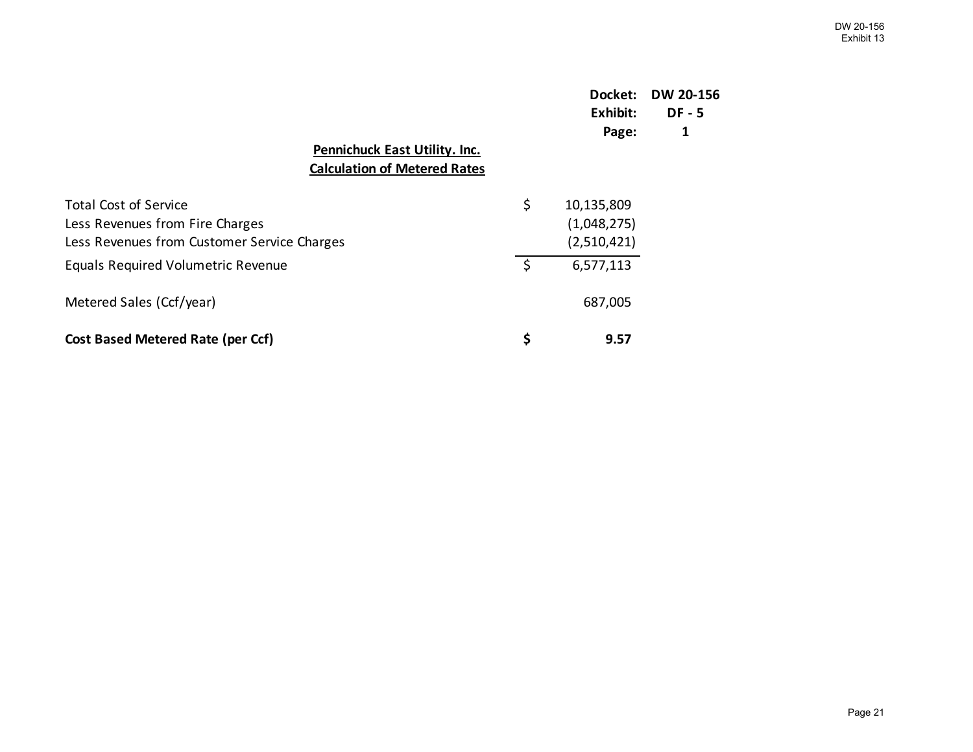|                                                                                                                | Docket:<br>Exhibit:<br>Page:                   | <b>DW 20-156</b><br>$DF - 5$<br>1 |
|----------------------------------------------------------------------------------------------------------------|------------------------------------------------|-----------------------------------|
| <b>Pennichuck East Utility. Inc.</b><br><b>Calculation of Metered Rates</b>                                    |                                                |                                   |
| <b>Total Cost of Service</b><br>Less Revenues from Fire Charges<br>Less Revenues from Customer Service Charges | \$<br>10,135,809<br>(1,048,275)<br>(2,510,421) |                                   |
| <b>Equals Required Volumetric Revenue</b>                                                                      | \$<br>6,577,113                                |                                   |
| Metered Sales (Ccf/year)                                                                                       | 687,005                                        |                                   |
| <b>Cost Based Metered Rate (per Ccf)</b>                                                                       | \$<br>9.57                                     |                                   |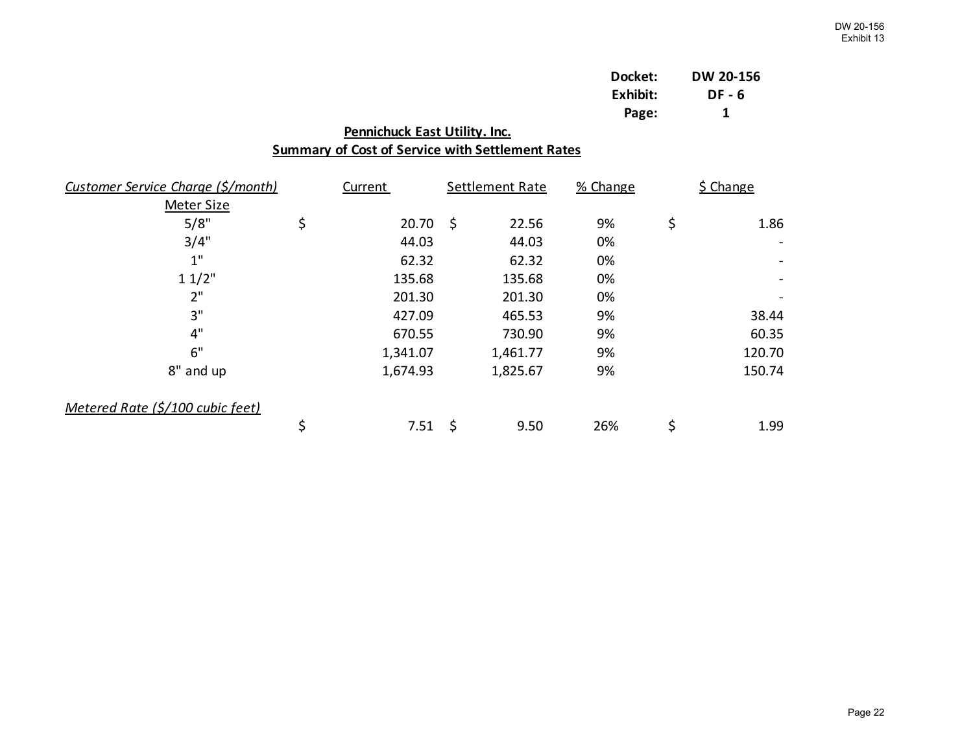| Docket:  | DW 20-156 |
|----------|-----------|
| Exhibit: | DF - 6    |
| Page:    | 1         |

| Pennichuck East Utility. Inc.                           |                                                         |            |    |                 |          |    |           |
|---------------------------------------------------------|---------------------------------------------------------|------------|----|-----------------|----------|----|-----------|
|                                                         | <b>Summary of Cost of Service with Settlement Rates</b> |            |    |                 |          |    |           |
| Customer Service Charge (\$/month)<br><b>Meter Size</b> |                                                         | Current    |    | Settlement Rate | % Change |    | \$ Change |
| 5/8"                                                    | \$                                                      | $20.70$ \$ |    | 22.56           | 9%       | \$ | 1.86      |
| 3/4"                                                    |                                                         | 44.03      |    | 44.03           | 0%       |    |           |
| 1"                                                      |                                                         | 62.32      |    | 62.32           | 0%       |    |           |
| 11/2"                                                   |                                                         | 135.68     |    | 135.68          | 0%       |    |           |
| 2"                                                      |                                                         | 201.30     |    | 201.30          | 0%       |    |           |
| 3"                                                      |                                                         | 427.09     |    | 465.53          | 9%       |    | 38.44     |
| 4"                                                      |                                                         | 670.55     |    | 730.90          | 9%       |    | 60.35     |
| 6"                                                      |                                                         | 1,341.07   |    | 1,461.77        | 9%       |    | 120.70    |
| 8" and up                                               |                                                         | 1,674.93   |    | 1,825.67        | 9%       |    | 150.74    |
| Metered Rate (\$/100 cubic feet)                        |                                                         |            |    |                 |          |    |           |
|                                                         | \$                                                      | 7.51       | \$ | 9.50            | 26%      | \$ | 1.99      |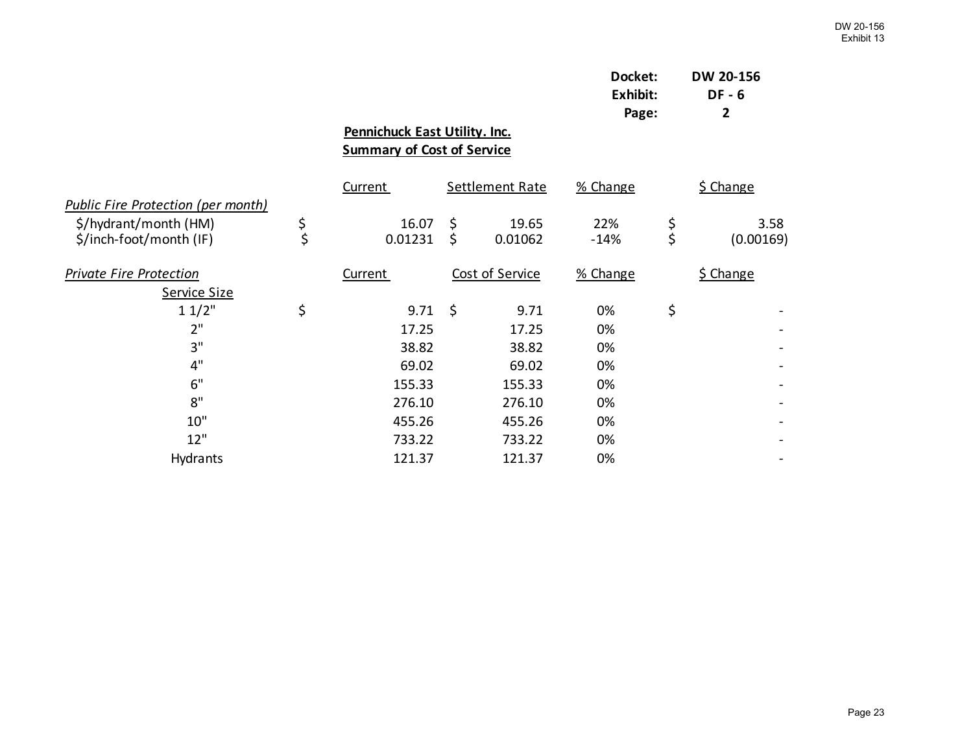|                  |                              |                                                                                  |          | DW 20-156<br>DF - 6<br>2           |
|------------------|------------------------------|----------------------------------------------------------------------------------|----------|------------------------------------|
|                  |                              |                                                                                  |          |                                    |
| <b>Current</b>   | Settlement Rate              | % Change                                                                         |          | <b>\$ Change</b>                   |
| 16.07<br>0.01231 | \$<br>19.65<br>\$<br>0.01062 | 22%<br>$-14%$                                                                    | \$<br>\$ | 3.58<br>(0.00169)                  |
| Current          | Cost of Service              | % Change                                                                         |          | \$ Change                          |
|                  |                              |                                                                                  |          |                                    |
|                  | 9.71                         | 0%                                                                               |          |                                    |
| 17.25            | 17.25                        | 0%                                                                               |          |                                    |
| 38.82            | 38.82                        | 0%                                                                               |          |                                    |
| 69.02            | 69.02                        | 0%                                                                               |          |                                    |
| 155.33           | 155.33                       | 0%                                                                               |          |                                    |
| 276.10           | 276.10                       | 0%                                                                               |          |                                    |
| 455.26           | 455.26                       | 0%                                                                               |          |                                    |
| 733.22           | 733.22                       | 0%                                                                               |          |                                    |
| 121.37           | 121.37                       | 0%                                                                               |          |                                    |
|                  |                              | Pennichuck East Utility. Inc.<br><b>Summary of Cost of Service</b><br>\$<br>9.71 |          | Docket:<br>Exhibit:<br>Page:<br>\$ |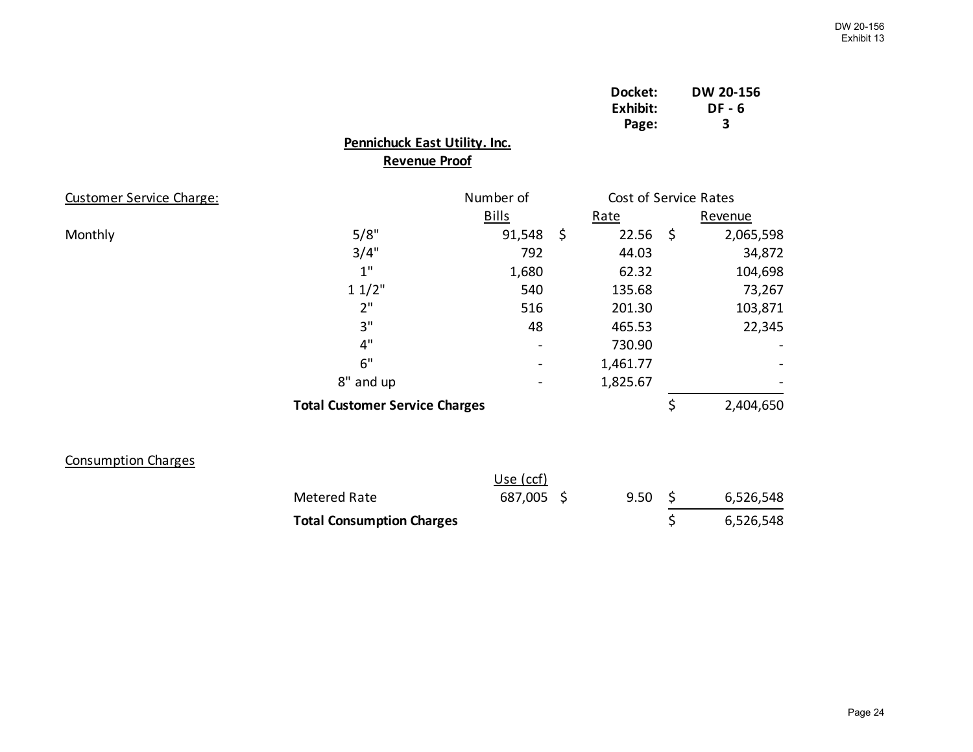|                            |                                       |              | Docket:<br>Exhibit:<br>Page: |      | DW 20-156<br><b>DF-6</b><br>3 |
|----------------------------|---------------------------------------|--------------|------------------------------|------|-------------------------------|
|                            | Pennichuck East Utility. Inc.         |              |                              |      |                               |
|                            | <b>Revenue Proof</b>                  |              |                              |      |                               |
| Customer Service Charge:   |                                       | Number of    | Cost of Service Rates        |      |                               |
|                            |                                       | <b>Bills</b> | Rate                         |      | Revenue                       |
| Monthly                    | 5/8"                                  | 91,548       | \$<br>22.56                  | - \$ | 2,065,598                     |
|                            | 3/4"                                  | 792          | 44.03                        |      | 34,872                        |
|                            | 1"                                    | 1,680        | 62.32                        |      | 104,698                       |
|                            | 11/2"                                 | 540          | 135.68                       |      | 73,267                        |
|                            | 2"                                    | 516          | 201.30                       |      | 103,871                       |
|                            | 3"                                    | 48           | 465.53                       |      | 22,345                        |
|                            | 4"                                    |              | 730.90                       |      |                               |
|                            | 6"                                    |              | 1,461.77                     |      |                               |
|                            | 8" and up                             |              | 1,825.67                     |      |                               |
|                            | <b>Total Customer Service Charges</b> |              |                              | \$   | 2,404,650                     |
| <b>Consumption Charges</b> |                                       |              |                              |      |                               |
|                            |                                       | Use (ccf)    |                              |      |                               |
|                            | <b>Metered Rate</b>                   | 687,005 \$   | 9.50                         | \$   | 6,526,548                     |
|                            | <b>Total Consumption Charges</b>      |              |                              | \$   | 6,526,548                     |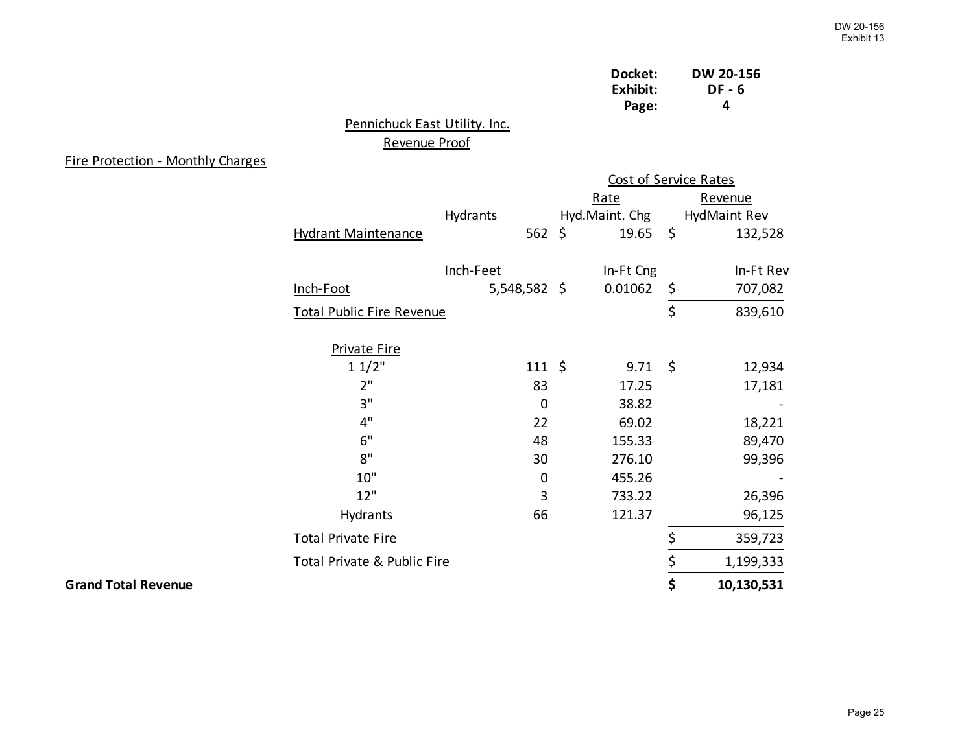| Docket:  | <b>DW 20-156</b> |
|----------|------------------|
| Exhibit: | DF - 6           |
| Page:    | 4                |

## Pennichuck East Utility. Inc. Revenue Proof

## Fire Protection - Monthly Charges

|                            |                                  |                   |                | <b>Cost of Service Rates</b> |              |  |
|----------------------------|----------------------------------|-------------------|----------------|------------------------------|--------------|--|
|                            |                                  |                   | Rate           |                              | Revenue      |  |
|                            |                                  | Hydrants          | Hyd.Maint. Chg |                              | HydMaint Rev |  |
|                            | <b>Hydrant Maintenance</b>       | 562 \$            | $19.65$ \$     |                              | 132,528      |  |
|                            |                                  | Inch-Feet         | In-Ft Cng      |                              | In-Ft Rev    |  |
|                            | Inch-Foot                        | $5,548,582$ \$    | 0.01062        | \$                           | 707,082      |  |
|                            | <b>Total Public Fire Revenue</b> |                   |                | \$                           | 839,610      |  |
|                            | <b>Private Fire</b>              |                   |                |                              |              |  |
|                            | 11/2"                            | $111 \; \text{S}$ | $9.71 \quad $$ |                              | 12,934       |  |
|                            | 2"                               | 83                | 17.25          |                              | 17,181       |  |
|                            | 3"                               | $\mathbf 0$       | 38.82          |                              |              |  |
|                            | 4"                               | 22                | 69.02          |                              | 18,221       |  |
|                            | 6"                               | 48                | 155.33         |                              | 89,470       |  |
|                            | 8"                               | 30                | 276.10         |                              | 99,396       |  |
|                            | 10"                              | 0                 | 455.26         |                              |              |  |
|                            | 12"                              | 3                 | 733.22         |                              | 26,396       |  |
|                            | Hydrants                         | 66                | 121.37         |                              | 96,125       |  |
|                            | <b>Total Private Fire</b>        |                   |                | \$                           | 359,723      |  |
|                            | Total Private & Public Fire      |                   |                | \$                           | 1,199,333    |  |
| <b>Grand Total Revenue</b> |                                  |                   |                | \$                           | 10,130,531   |  |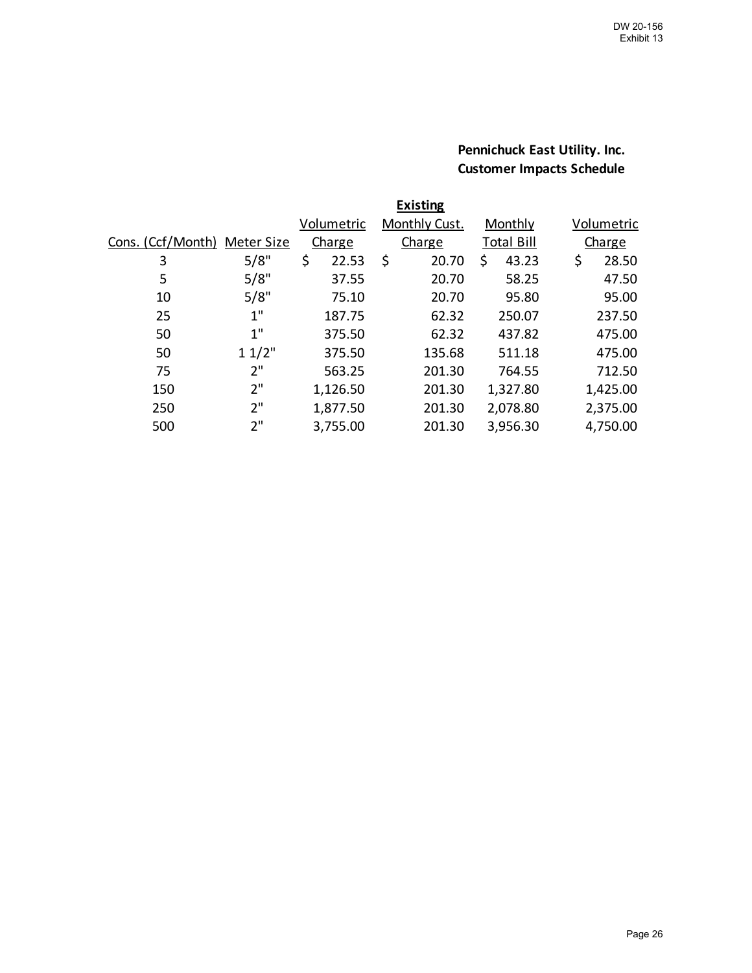## **Pennichuck East Utility. Inc. Customer Impacts Schedule**

| <b>Existing</b>   |            |               |                      |                   |             |  |  |  |  |  |  |  |
|-------------------|------------|---------------|----------------------|-------------------|-------------|--|--|--|--|--|--|--|
|                   |            | Volumetric    | <b>Monthly Cust.</b> | Monthly           | Volumetric  |  |  |  |  |  |  |  |
| Cons. (Ccf/Month) | Meter Size | <b>Charge</b> | Charge               | <b>Total Bill</b> | Charge      |  |  |  |  |  |  |  |
| 3                 | 5/8"       | \$<br>22.53   | \$<br>20.70          | 43.23<br>\$       | \$<br>28.50 |  |  |  |  |  |  |  |
| 5                 | 5/8"       | 37.55         | 20.70                | 58.25             | 47.50       |  |  |  |  |  |  |  |
| 10                | 5/8"       | 75.10         | 20.70                | 95.80             | 95.00       |  |  |  |  |  |  |  |
| 25                | $1$ "      | 187.75        | 62.32                | 250.07            | 237.50      |  |  |  |  |  |  |  |
| 50                | 1"         | 375.50        | 62.32                | 437.82            | 475.00      |  |  |  |  |  |  |  |
| 50                | 11/2"      | 375.50        | 135.68               | 511.18            | 475.00      |  |  |  |  |  |  |  |
| 75                | 2"         | 563.25        | 201.30               | 764.55            | 712.50      |  |  |  |  |  |  |  |
| 150               | 2"         | 1,126.50      | 201.30               | 1,327.80          | 1,425.00    |  |  |  |  |  |  |  |
| 250               | 2"         | 1,877.50      | 201.30               | 2,078.80          | 2,375.00    |  |  |  |  |  |  |  |
| 500               | 2"         | 3,755.00      | 201.30               | 3,956.30          | 4,750.00    |  |  |  |  |  |  |  |